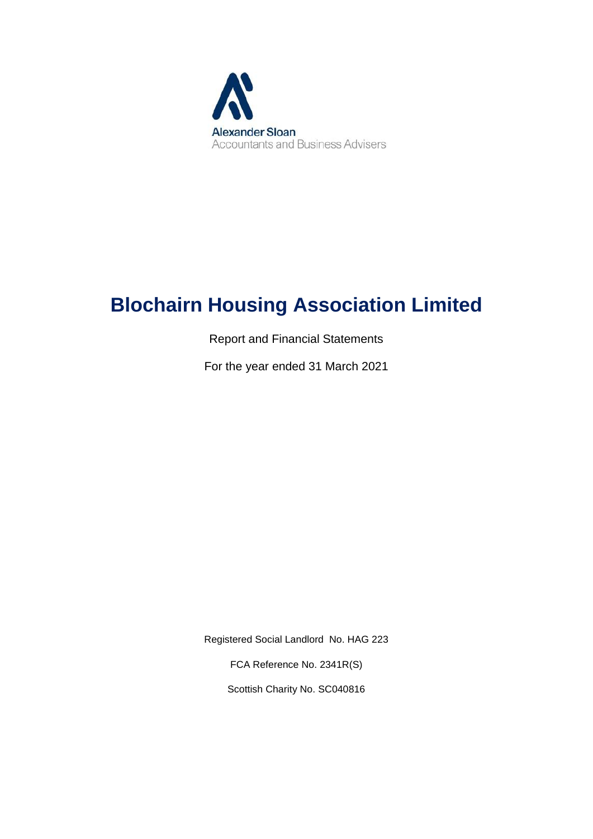

# **Blochairn Housing Association Limited**

# Report and Financial Statements

For the year ended 31 March 2021

Registered Social Landlord No. HAG 223

FCA Reference No. 2341R(S)

Scottish Charity No. SC040816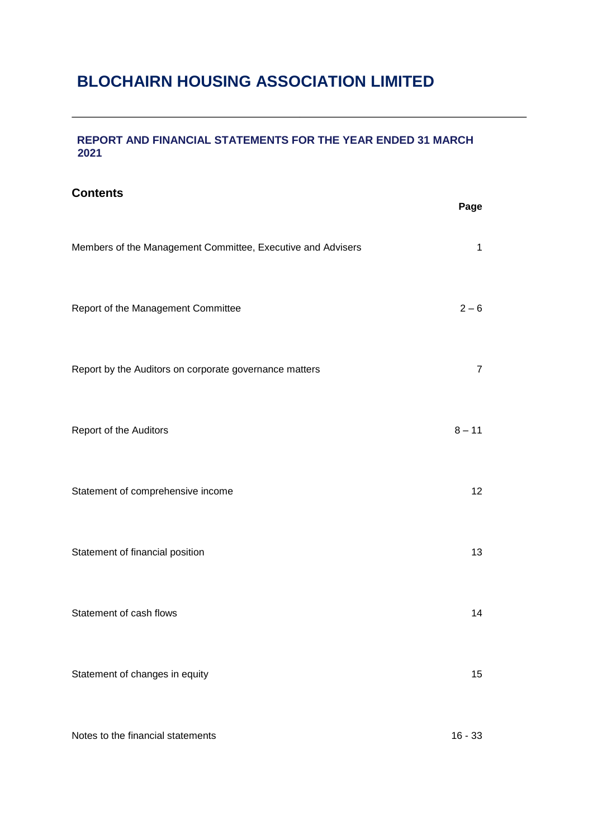# **REPORT AND FINANCIAL STATEMENTS FOR THE YEAR ENDED 31 MARCH 2021**

| <b>Contents</b>                                             | Page            |
|-------------------------------------------------------------|-----------------|
| Members of the Management Committee, Executive and Advisers | $\mathbf{1}$    |
| Report of the Management Committee                          | $2 - 6$         |
| Report by the Auditors on corporate governance matters      | $\overline{7}$  |
| Report of the Auditors                                      | $8 - 11$        |
| Statement of comprehensive income                           | 12 <sub>2</sub> |
| Statement of financial position                             | 13              |
| Statement of cash flows                                     | 14              |
| Statement of changes in equity                              | 15              |
| Notes to the financial statements                           | $16 - 33$       |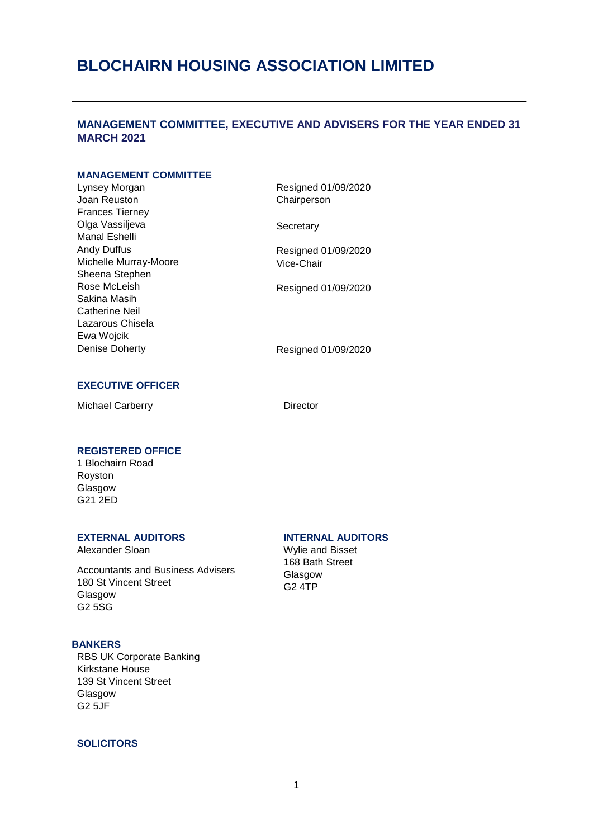# **MANAGEMENT COMMITTEE, EXECUTIVE AND ADVISERS FOR THE YEAR ENDED 31 MARCH 2021**

### **MANAGEMENT COMMITTEE**

| Lynsey Morgan          | Resigned 01/09/2020 |
|------------------------|---------------------|
| Joan Reuston           | Chairperson         |
| <b>Frances Tierney</b> |                     |
| Olga Vassiljeva        | Secretary           |
| Manal Eshelli          |                     |
| Andy Duffus            | Resigned 01/09/2020 |
| Michelle Murray-Moore  | Vice-Chair          |
| Sheena Stephen         |                     |
| Rose McLeish           | Resigned 01/09/2020 |
| Sakina Masih           |                     |
| <b>Catherine Neil</b>  |                     |
| Lazarous Chisela       |                     |
| Ewa Wojcik             |                     |
| Denise Doherty         | Resigned 01/09/2020 |

### **EXECUTIVE OFFICER**

Michael Carberry **Director** 

#### **REGISTERED OFFICE**

1 Blochairn Road Royston **Glasgow** G21 2ED

### **EXTERNAL AUDITORS INTERNAL AUDITORS**

Accountants and Business Advisers 180 St Vincent Street Glasgow G2 5SG

#### **BANKERS**

RBS UK Corporate Banking Kirkstane House 139 St Vincent Street Glasgow G2 5JF

### **SOLICITORS**

Alexander Sloan Wylie and Bisset 168 Bath Street Glasgow G2 4TP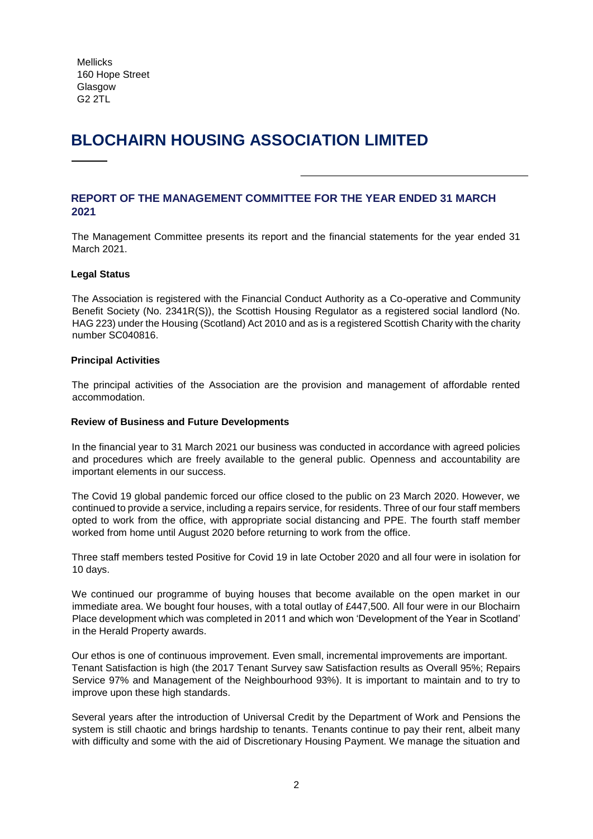Mellicks 160 Hope Street Glasgow G2 2TL

# **BLOCHAIRN HOUSING ASSOCIATION LIMITED**

## **REPORT OF THE MANAGEMENT COMMITTEE FOR THE YEAR ENDED 31 MARCH 2021**

The Management Committee presents its report and the financial statements for the year ended 31 March 2021.

### **Legal Status**

 $\overline{a}$ 

The Association is registered with the Financial Conduct Authority as a Co-operative and Community Benefit Society (No. 2341R(S)), the Scottish Housing Regulator as a registered social landlord (No. HAG 223) under the Housing (Scotland) Act 2010 and as is a registered Scottish Charity with the charity number SC040816.

#### **Principal Activities**

The principal activities of the Association are the provision and management of affordable rented accommodation.

#### **Review of Business and Future Developments**

In the financial year to 31 March 2021 our business was conducted in accordance with agreed policies and procedures which are freely available to the general public. Openness and accountability are important elements in our success.

The Covid 19 global pandemic forced our office closed to the public on 23 March 2020. However, we continued to provide a service, including a repairs service, for residents. Three of our four staff members opted to work from the office, with appropriate social distancing and PPE. The fourth staff member worked from home until August 2020 before returning to work from the office.

Three staff members tested Positive for Covid 19 in late October 2020 and all four were in isolation for 10 days.

We continued our programme of buying houses that become available on the open market in our immediate area. We bought four houses, with a total outlay of £447,500. All four were in our Blochairn Place development which was completed in 2011 and which won 'Development of the Year in Scotland' in the Herald Property awards.

Our ethos is one of continuous improvement. Even small, incremental improvements are important. Tenant Satisfaction is high (the 2017 Tenant Survey saw Satisfaction results as Overall 95%; Repairs Service 97% and Management of the Neighbourhood 93%). It is important to maintain and to try to improve upon these high standards.

Several years after the introduction of Universal Credit by the Department of Work and Pensions the system is still chaotic and brings hardship to tenants. Tenants continue to pay their rent, albeit many with difficulty and some with the aid of Discretionary Housing Payment. We manage the situation and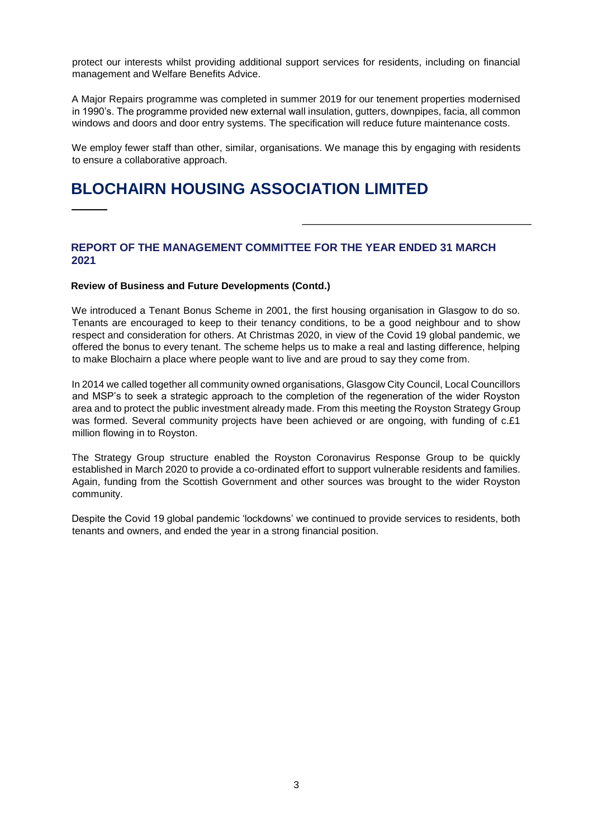protect our interests whilst providing additional support services for residents, including on financial management and Welfare Benefits Advice.

A Major Repairs programme was completed in summer 2019 for our tenement properties modernised in 1990's. The programme provided new external wall insulation, gutters, downpipes, facia, all common windows and doors and door entry systems. The specification will reduce future maintenance costs.

We employ fewer staff than other, similar, organisations. We manage this by engaging with residents to ensure a collaborative approach.

# **BLOCHAIRN HOUSING ASSOCIATION LIMITED**

## **REPORT OF THE MANAGEMENT COMMITTEE FOR THE YEAR ENDED 31 MARCH 2021**

#### **Review of Business and Future Developments (Contd.)**

L

We introduced a Tenant Bonus Scheme in 2001, the first housing organisation in Glasgow to do so. Tenants are encouraged to keep to their tenancy conditions, to be a good neighbour and to show respect and consideration for others. At Christmas 2020, in view of the Covid 19 global pandemic, we offered the bonus to every tenant. The scheme helps us to make a real and lasting difference, helping to make Blochairn a place where people want to live and are proud to say they come from.

In 2014 we called together all community owned organisations, Glasgow City Council, Local Councillors and MSP's to seek a strategic approach to the completion of the regeneration of the wider Royston area and to protect the public investment already made. From this meeting the Royston Strategy Group was formed. Several community projects have been achieved or are ongoing, with funding of c.£1 million flowing in to Royston.

The Strategy Group structure enabled the Royston Coronavirus Response Group to be quickly established in March 2020 to provide a co-ordinated effort to support vulnerable residents and families. Again, funding from the Scottish Government and other sources was brought to the wider Royston community.

Despite the Covid 19 global pandemic 'lockdowns' we continued to provide services to residents, both tenants and owners, and ended the year in a strong financial position.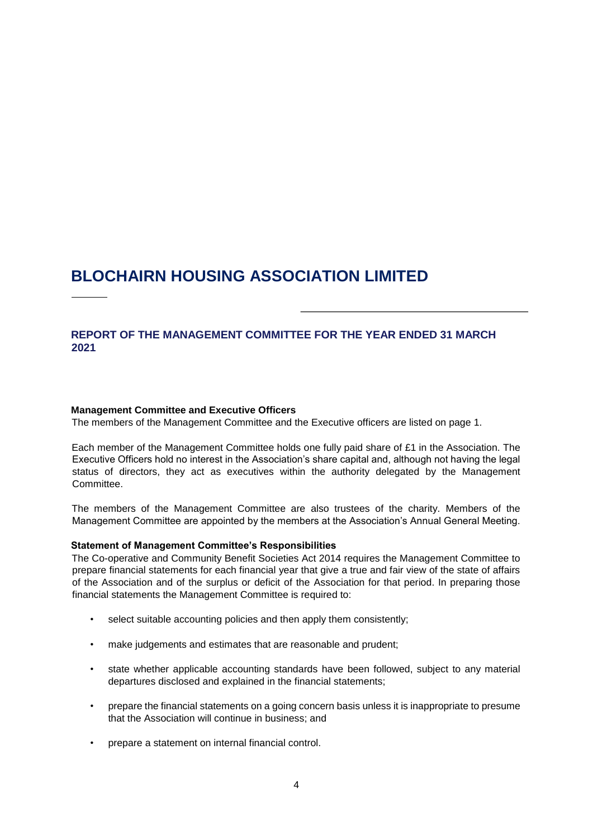# **REPORT OF THE MANAGEMENT COMMITTEE FOR THE YEAR ENDED 31 MARCH 2021**

#### **Management Committee and Executive Officers**

L

The members of the Management Committee and the Executive officers are listed on page 1.

Each member of the Management Committee holds one fully paid share of £1 in the Association. The Executive Officers hold no interest in the Association's share capital and, although not having the legal status of directors, they act as executives within the authority delegated by the Management Committee.

The members of the Management Committee are also trustees of the charity. Members of the Management Committee are appointed by the members at the Association's Annual General Meeting.

#### **Statement of Management Committee's Responsibilities**

The Co-operative and Community Benefit Societies Act 2014 requires the Management Committee to prepare financial statements for each financial year that give a true and fair view of the state of affairs of the Association and of the surplus or deficit of the Association for that period. In preparing those financial statements the Management Committee is required to:

- select suitable accounting policies and then apply them consistently;
- make judgements and estimates that are reasonable and prudent;
- state whether applicable accounting standards have been followed, subject to any material departures disclosed and explained in the financial statements;
- prepare the financial statements on a going concern basis unless it is inappropriate to presume that the Association will continue in business; and
- prepare a statement on internal financial control.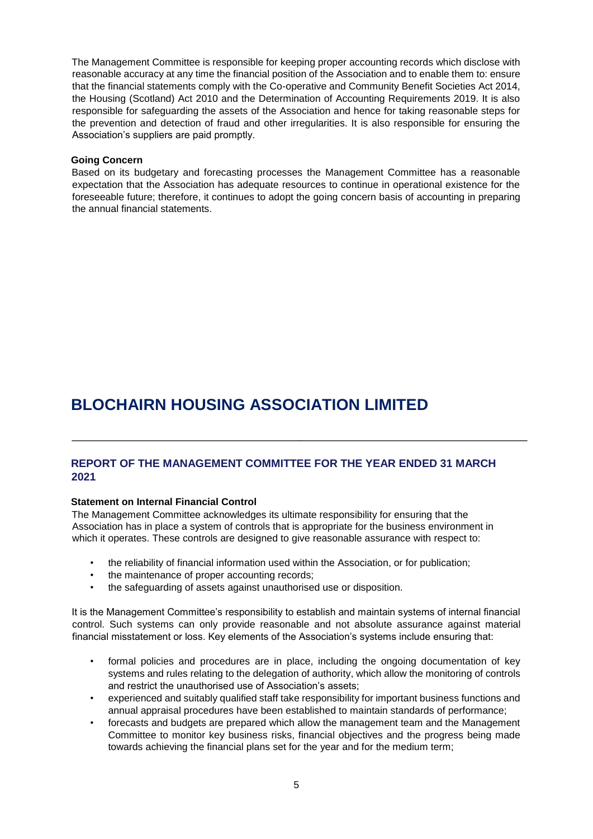The Management Committee is responsible for keeping proper accounting records which disclose with reasonable accuracy at any time the financial position of the Association and to enable them to: ensure that the financial statements comply with the Co-operative and Community Benefit Societies Act 2014, the Housing (Scotland) Act 2010 and the Determination of Accounting Requirements 2019. It is also responsible for safeguarding the assets of the Association and hence for taking reasonable steps for the prevention and detection of fraud and other irregularities. It is also responsible for ensuring the Association's suppliers are paid promptly.

#### **Going Concern**

Based on its budgetary and forecasting processes the Management Committee has a reasonable expectation that the Association has adequate resources to continue in operational existence for the foreseeable future; therefore, it continues to adopt the going concern basis of accounting in preparing the annual financial statements.

# **BLOCHAIRN HOUSING ASSOCIATION LIMITED**

### **REPORT OF THE MANAGEMENT COMMITTEE FOR THE YEAR ENDED 31 MARCH 2021**

### **Statement on Internal Financial Control**

The Management Committee acknowledges its ultimate responsibility for ensuring that the Association has in place a system of controls that is appropriate for the business environment in which it operates. These controls are designed to give reasonable assurance with respect to:

- the reliability of financial information used within the Association, or for publication;
- the maintenance of proper accounting records:
- the safeguarding of assets against unauthorised use or disposition.

It is the Management Committee's responsibility to establish and maintain systems of internal financial control. Such systems can only provide reasonable and not absolute assurance against material financial misstatement or loss. Key elements of the Association's systems include ensuring that:

- formal policies and procedures are in place, including the ongoing documentation of key systems and rules relating to the delegation of authority, which allow the monitoring of controls and restrict the unauthorised use of Association's assets;
- experienced and suitably qualified staff take responsibility for important business functions and annual appraisal procedures have been established to maintain standards of performance;
- forecasts and budgets are prepared which allow the management team and the Management Committee to monitor key business risks, financial objectives and the progress being made towards achieving the financial plans set for the year and for the medium term;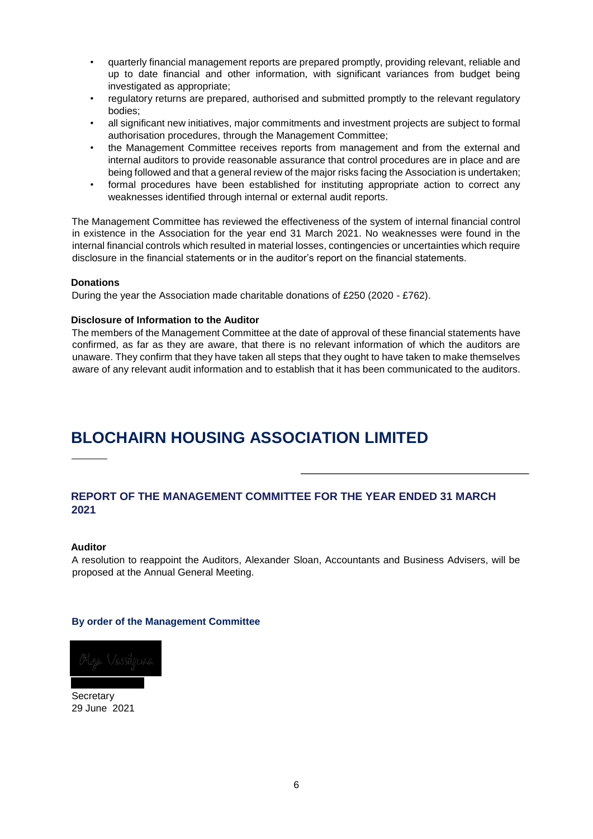- quarterly financial management reports are prepared promptly, providing relevant, reliable and up to date financial and other information, with significant variances from budget being investigated as appropriate;
- regulatory returns are prepared, authorised and submitted promptly to the relevant regulatory bodies;
- all significant new initiatives, major commitments and investment projects are subject to formal authorisation procedures, through the Management Committee;
- the Management Committee receives reports from management and from the external and internal auditors to provide reasonable assurance that control procedures are in place and are being followed and that a general review of the major risks facing the Association is undertaken;
- formal procedures have been established for instituting appropriate action to correct any weaknesses identified through internal or external audit reports.

The Management Committee has reviewed the effectiveness of the system of internal financial control in existence in the Association for the year end 31 March 2021. No weaknesses were found in the internal financial controls which resulted in material losses, contingencies or uncertainties which require disclosure in the financial statements or in the auditor's report on the financial statements.

#### **Donations**

During the year the Association made charitable donations of £250 (2020 - £762).

#### **Disclosure of Information to the Auditor**

The members of the Management Committee at the date of approval of these financial statements have confirmed, as far as they are aware, that there is no relevant information of which the auditors are unaware. They confirm that they have taken all steps that they ought to have taken to make themselves aware of any relevant audit information and to establish that it has been communicated to the auditors.

# **BLOCHAIRN HOUSING ASSOCIATION LIMITED**

### **REPORT OF THE MANAGEMENT COMMITTEE FOR THE YEAR ENDED 31 MARCH 2021**

#### **Auditor**

L

A resolution to reappoint the Auditors, Alexander Sloan, Accountants and Business Advisers, will be proposed at the Annual General Meeting.

#### **By order of the Management Committee**



**Secretary** 29 June 2021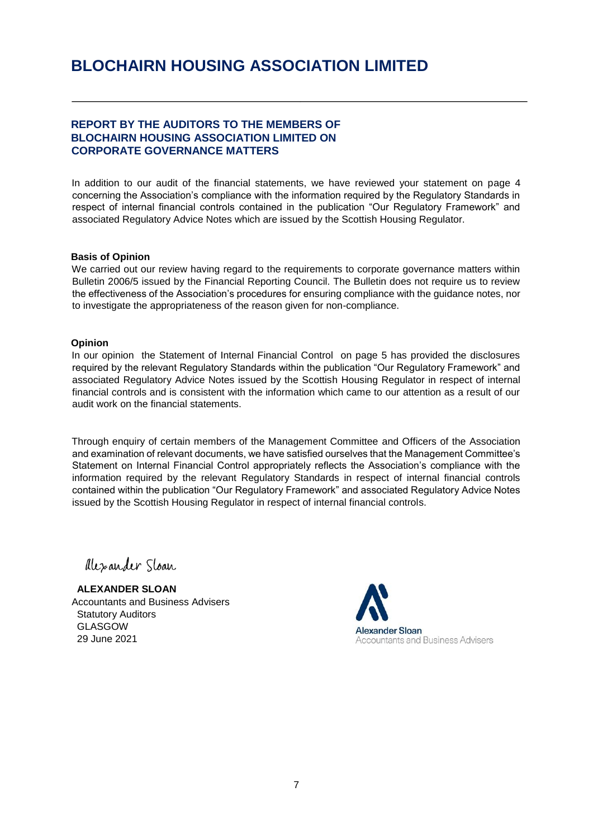# **REPORT BY THE AUDITORS TO THE MEMBERS OF BLOCHAIRN HOUSING ASSOCIATION LIMITED ON CORPORATE GOVERNANCE MATTERS**

In addition to our audit of the financial statements, we have reviewed your statement on page 4 concerning the Association's compliance with the information required by the Regulatory Standards in respect of internal financial controls contained in the publication "Our Regulatory Framework" and associated Regulatory Advice Notes which are issued by the Scottish Housing Regulator.

### **Basis of Opinion**

We carried out our review having regard to the requirements to corporate governance matters within Bulletin 2006/5 issued by the Financial Reporting Council. The Bulletin does not require us to review the effectiveness of the Association's procedures for ensuring compliance with the guidance notes, nor to investigate the appropriateness of the reason given for non-compliance.

### **Opinion**

In our opinion the Statement of Internal Financial Control on page 5 has provided the disclosures required by the relevant Regulatory Standards within the publication "Our Regulatory Framework" and associated Regulatory Advice Notes issued by the Scottish Housing Regulator in respect of internal financial controls and is consistent with the information which came to our attention as a result of our audit work on the financial statements.

Through enquiry of certain members of the Management Committee and Officers of the Association and examination of relevant documents, we have satisfied ourselves that the Management Committee's Statement on Internal Financial Control appropriately reflects the Association's compliance with the information required by the relevant Regulatory Standards in respect of internal financial controls contained within the publication "Our Regulatory Framework" and associated Regulatory Advice Notes issued by the Scottish Housing Regulator in respect of internal financial controls.

Alexander Stoan

**ALEXANDER SLOAN**  Accountants and Business Advisers Statutory Auditors GLASGOW 29 June 2021

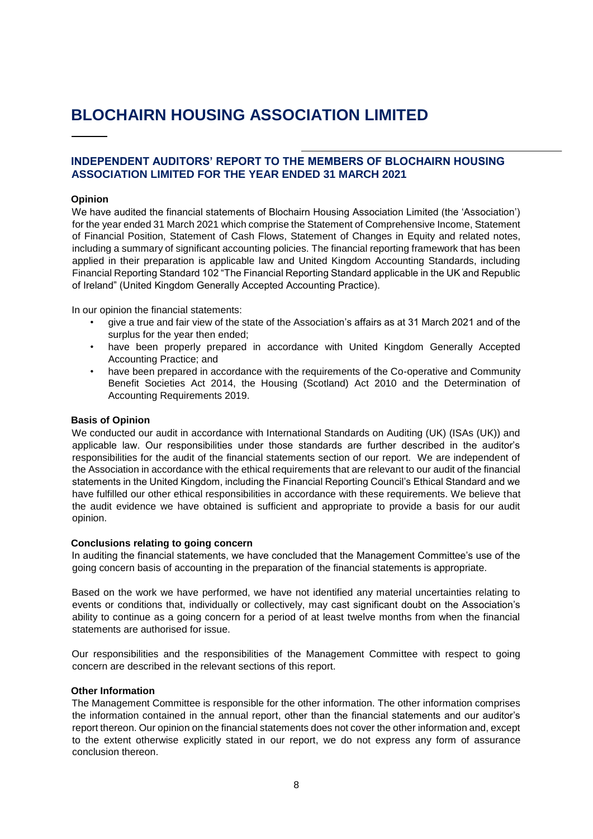# **INDEPENDENT AUDITORS' REPORT TO THE MEMBERS OF BLOCHAIRN HOUSING ASSOCIATION LIMITED FOR THE YEAR ENDED 31 MARCH 2021**

#### **Opinion**

 $\overline{a}$ 

We have audited the financial statements of Blochairn Housing Association Limited (the 'Association') for the year ended 31 March 2021 which comprise the Statement of Comprehensive Income, Statement of Financial Position, Statement of Cash Flows, Statement of Changes in Equity and related notes, including a summary of significant accounting policies. The financial reporting framework that has been applied in their preparation is applicable law and United Kingdom Accounting Standards, including Financial Reporting Standard 102 "The Financial Reporting Standard applicable in the UK and Republic of Ireland" (United Kingdom Generally Accepted Accounting Practice).

In our opinion the financial statements:

- give a true and fair view of the state of the Association's affairs as at 31 March 2021 and of the surplus for the year then ended;
- have been properly prepared in accordance with United Kingdom Generally Accepted Accounting Practice; and
- have been prepared in accordance with the requirements of the Co-operative and Community Benefit Societies Act 2014, the Housing (Scotland) Act 2010 and the Determination of Accounting Requirements 2019.

#### **Basis of Opinion**

We conducted our audit in accordance with International Standards on Auditing (UK) (ISAs (UK)) and applicable law. Our responsibilities under those standards are further described in the auditor's responsibilities for the audit of the financial statements section of our report. We are independent of the Association in accordance with the ethical requirements that are relevant to our audit of the financial statements in the United Kingdom, including the Financial Reporting Council's Ethical Standard and we have fulfilled our other ethical responsibilities in accordance with these requirements. We believe that the audit evidence we have obtained is sufficient and appropriate to provide a basis for our audit opinion.

#### **Conclusions relating to going concern**

In auditing the financial statements, we have concluded that the Management Committee's use of the going concern basis of accounting in the preparation of the financial statements is appropriate.

Based on the work we have performed, we have not identified any material uncertainties relating to events or conditions that, individually or collectively, may cast significant doubt on the Association's ability to continue as a going concern for a period of at least twelve months from when the financial statements are authorised for issue.

Our responsibilities and the responsibilities of the Management Committee with respect to going concern are described in the relevant sections of this report.

#### **Other Information**

The Management Committee is responsible for the other information. The other information comprises the information contained in the annual report, other than the financial statements and our auditor's report thereon. Our opinion on the financial statements does not cover the other information and, except to the extent otherwise explicitly stated in our report, we do not express any form of assurance conclusion thereon.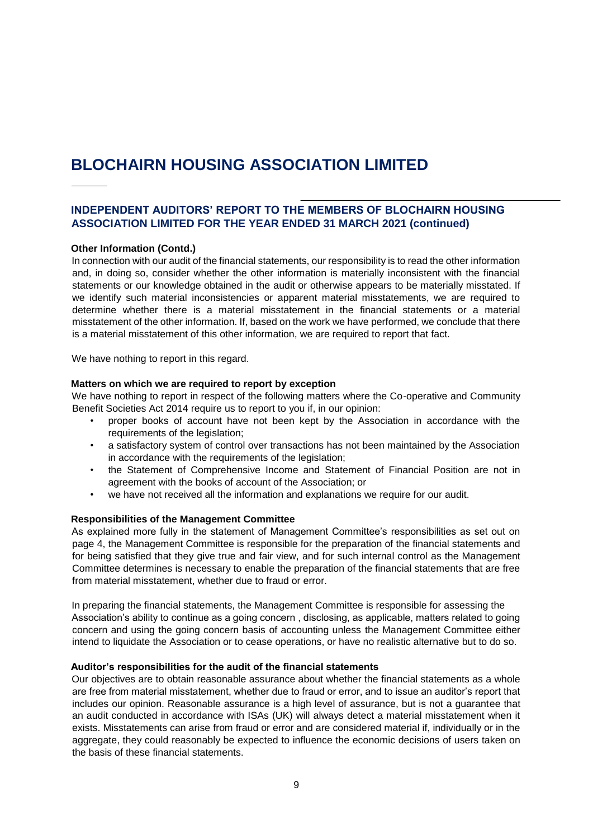# **INDEPENDENT AUDITORS' REPORT TO THE MEMBERS OF BLOCHAIRN HOUSING ASSOCIATION LIMITED FOR THE YEAR ENDED 31 MARCH 2021 (continued)**

### **Other Information (Contd.)**

L

In connection with our audit of the financial statements, our responsibility is to read the other information and, in doing so, consider whether the other information is materially inconsistent with the financial statements or our knowledge obtained in the audit or otherwise appears to be materially misstated. If we identify such material inconsistencies or apparent material misstatements, we are required to determine whether there is a material misstatement in the financial statements or a material misstatement of the other information. If, based on the work we have performed, we conclude that there is a material misstatement of this other information, we are required to report that fact.

We have nothing to report in this regard.

#### **Matters on which we are required to report by exception**

We have nothing to report in respect of the following matters where the Co-operative and Community Benefit Societies Act 2014 require us to report to you if, in our opinion:

- proper books of account have not been kept by the Association in accordance with the requirements of the legislation;
- a satisfactory system of control over transactions has not been maintained by the Association in accordance with the requirements of the legislation;
- the Statement of Comprehensive Income and Statement of Financial Position are not in agreement with the books of account of the Association; or
- we have not received all the information and explanations we require for our audit.

#### **Responsibilities of the Management Committee**

As explained more fully in the statement of Management Committee's responsibilities as set out on page 4, the Management Committee is responsible for the preparation of the financial statements and for being satisfied that they give true and fair view, and for such internal control as the Management Committee determines is necessary to enable the preparation of the financial statements that are free from material misstatement, whether due to fraud or error.

In preparing the financial statements, the Management Committee is responsible for assessing the Association's ability to continue as a going concern , disclosing, as applicable, matters related to going concern and using the going concern basis of accounting unless the Management Committee either intend to liquidate the Association or to cease operations, or have no realistic alternative but to do so.

#### **Auditor's responsibilities for the audit of the financial statements**

Our objectives are to obtain reasonable assurance about whether the financial statements as a whole are free from material misstatement, whether due to fraud or error, and to issue an auditor's report that includes our opinion. Reasonable assurance is a high level of assurance, but is not a guarantee that an audit conducted in accordance with ISAs (UK) will always detect a material misstatement when it exists. Misstatements can arise from fraud or error and are considered material if, individually or in the aggregate, they could reasonably be expected to influence the economic decisions of users taken on the basis of these financial statements.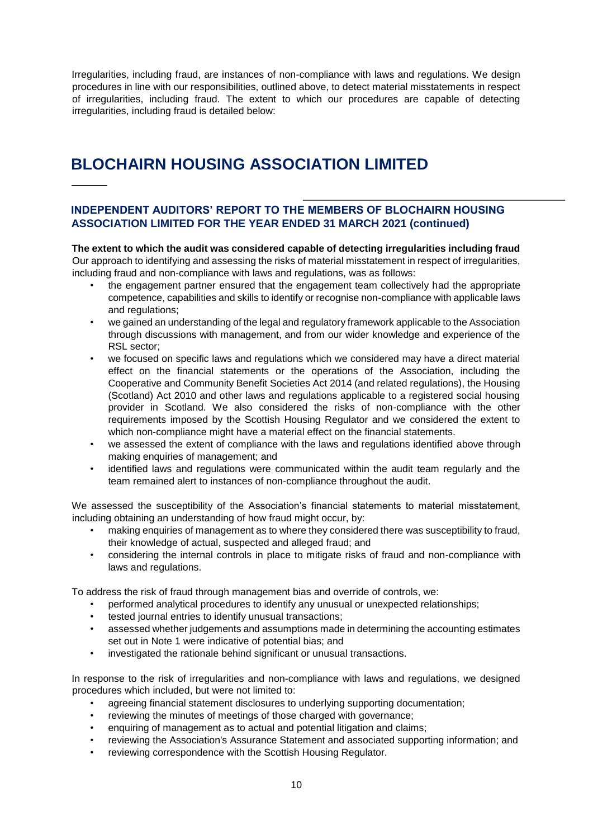Irregularities, including fraud, are instances of non-compliance with laws and regulations. We design procedures in line with our responsibilities, outlined above, to detect material misstatements in respect of irregularities, including fraud. The extent to which our procedures are capable of detecting irregularities, including fraud is detailed below:

# **BLOCHAIRN HOUSING ASSOCIATION LIMITED**

L

# **INDEPENDENT AUDITORS' REPORT TO THE MEMBERS OF BLOCHAIRN HOUSING ASSOCIATION LIMITED FOR THE YEAR ENDED 31 MARCH 2021 (continued)**

**The extent to which the audit was considered capable of detecting irregularities including fraud**  Our approach to identifying and assessing the risks of material misstatement in respect of irregularities, including fraud and non-compliance with laws and regulations, was as follows:

- the engagement partner ensured that the engagement team collectively had the appropriate competence, capabilities and skills to identify or recognise non-compliance with applicable laws and regulations;
- we gained an understanding of the legal and regulatory framework applicable to the Association through discussions with management, and from our wider knowledge and experience of the RSL sector;
- we focused on specific laws and regulations which we considered may have a direct material effect on the financial statements or the operations of the Association, including the Cooperative and Community Benefit Societies Act 2014 (and related regulations), the Housing (Scotland) Act 2010 and other laws and regulations applicable to a registered social housing provider in Scotland. We also considered the risks of non-compliance with the other requirements imposed by the Scottish Housing Regulator and we considered the extent to which non-compliance might have a material effect on the financial statements.
- we assessed the extent of compliance with the laws and regulations identified above through making enquiries of management; and
- identified laws and regulations were communicated within the audit team regularly and the team remained alert to instances of non-compliance throughout the audit.

We assessed the susceptibility of the Association's financial statements to material misstatement, including obtaining an understanding of how fraud might occur, by:

- making enquiries of management as to where they considered there was susceptibility to fraud, their knowledge of actual, suspected and alleged fraud; and
- considering the internal controls in place to mitigate risks of fraud and non-compliance with laws and regulations.

To address the risk of fraud through management bias and override of controls, we:

- performed analytical procedures to identify any unusual or unexpected relationships;
- tested journal entries to identify unusual transactions;
- assessed whether judgements and assumptions made in determining the accounting estimates set out in Note 1 were indicative of potential bias; and
- investigated the rationale behind significant or unusual transactions.

In response to the risk of irregularities and non-compliance with laws and regulations, we designed procedures which included, but were not limited to:

- agreeing financial statement disclosures to underlying supporting documentation;
- reviewing the minutes of meetings of those charged with governance;
- enquiring of management as to actual and potential litigation and claims;
- reviewing the Association's Assurance Statement and associated supporting information; and
- reviewing correspondence with the Scottish Housing Regulator.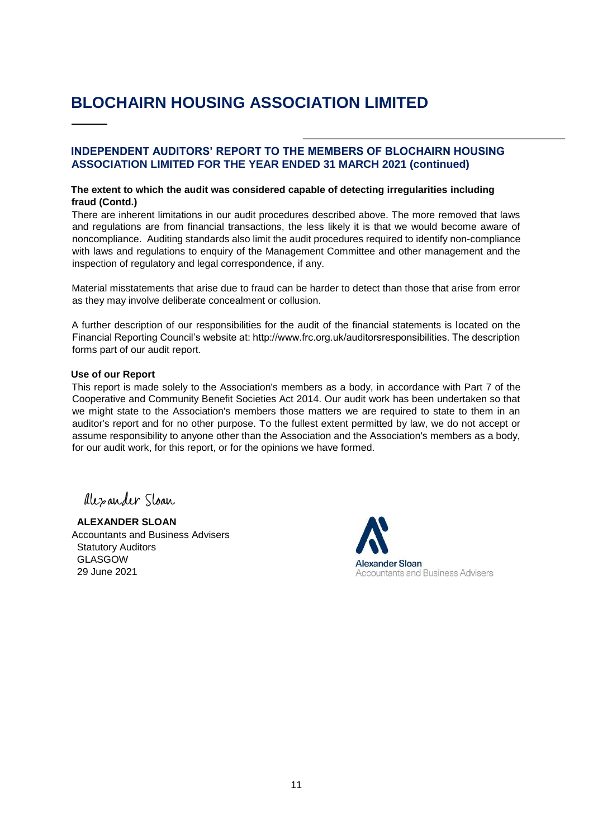### **INDEPENDENT AUDITORS' REPORT TO THE MEMBERS OF BLOCHAIRN HOUSING ASSOCIATION LIMITED FOR THE YEAR ENDED 31 MARCH 2021 (continued)**

#### **The extent to which the audit was considered capable of detecting irregularities including fraud (Contd.)**

There are inherent limitations in our audit procedures described above. The more removed that laws and regulations are from financial transactions, the less likely it is that we would become aware of noncompliance. Auditing standards also limit the audit procedures required to identify non-compliance with laws and regulations to enquiry of the Management Committee and other management and the inspection of regulatory and legal correspondence, if any.

Material misstatements that arise due to fraud can be harder to detect than those that arise from error as they may involve deliberate concealment or collusion.

A further description of our responsibilities for the audit of the financial statements is located on the Financial Reporting Council's website at: http://www.frc.org.uk/auditorsresponsibilities. The description forms part of our audit report.

#### **Use of our Report**

 $\overline{a}$ 

This report is made solely to the Association's members as a body, in accordance with Part 7 of the Cooperative and Community Benefit Societies Act 2014. Our audit work has been undertaken so that we might state to the Association's members those matters we are required to state to them in an auditor's report and for no other purpose. To the fullest extent permitted by law, we do not accept or assume responsibility to anyone other than the Association and the Association's members as a body, for our audit work, for this report, or for the opinions we have formed.

Alexander Stoan

**ALEXANDER SLOAN**  Accountants and Business Advisers Statutory Auditors GLASGOW 29 June 2021

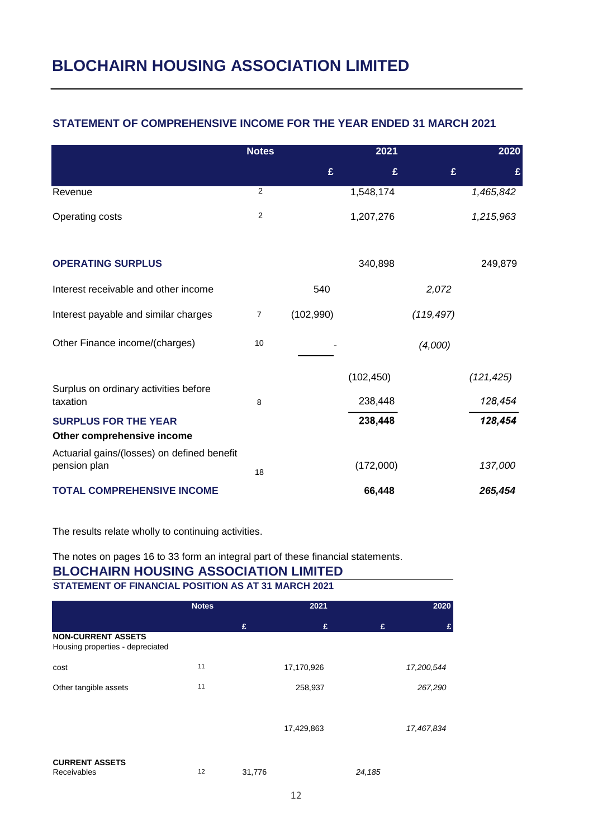# **STATEMENT OF COMPREHENSIVE INCOME FOR THE YEAR ENDED 31 MARCH 2021**

|                                                             | <b>Notes</b> | 2021      |            |            | 2020       |  |
|-------------------------------------------------------------|--------------|-----------|------------|------------|------------|--|
|                                                             |              | £         | £          | £          | £          |  |
| Revenue                                                     | 2            |           | 1,548,174  |            | 1,465,842  |  |
| Operating costs                                             | 2            |           | 1,207,276  |            | 1,215,963  |  |
| <b>OPERATING SURPLUS</b>                                    |              |           | 340,898    |            | 249,879    |  |
| Interest receivable and other income                        |              | 540       |            | 2,072      |            |  |
| Interest payable and similar charges                        | 7            | (102,990) |            | (119, 497) |            |  |
| Other Finance income/(charges)                              | 10           |           |            | (4,000)    |            |  |
|                                                             |              |           | (102, 450) |            | (121, 425) |  |
| Surplus on ordinary activities before<br>taxation           | 8            |           | 238,448    |            | 128,454    |  |
| <b>SURPLUS FOR THE YEAR</b>                                 |              |           | 238,448    |            | 128,454    |  |
| Other comprehensive income                                  |              |           |            |            |            |  |
| Actuarial gains/(losses) on defined benefit<br>pension plan | 18           |           | (172,000)  |            | 137,000    |  |
| <b>TOTAL COMPREHENSIVE INCOME</b>                           |              |           | 66,448     |            | 265,454    |  |

The results relate wholly to continuing activities.

# The notes on pages 16 to 33 form an integral part of these financial statements. **BLOCHAIRN HOUSING ASSOCIATION LIMITED**

# **STATEMENT OF FINANCIAL POSITION AS AT 31 MARCH 2021**

|                                                               | <b>Notes</b> |        | 2021       |        | 2020       |
|---------------------------------------------------------------|--------------|--------|------------|--------|------------|
|                                                               |              | £      | £          | £      | £          |
| <b>NON-CURRENT ASSETS</b><br>Housing properties - depreciated |              |        |            |        |            |
| cost                                                          | 11           |        | 17,170,926 |        | 17,200,544 |
| Other tangible assets                                         | 11           |        | 258,937    |        | 267,290    |
|                                                               |              |        | 17,429,863 |        | 17,467,834 |
| <b>CURRENT ASSETS</b><br>Receivables                          | 12           | 31,776 |            | 24,185 |            |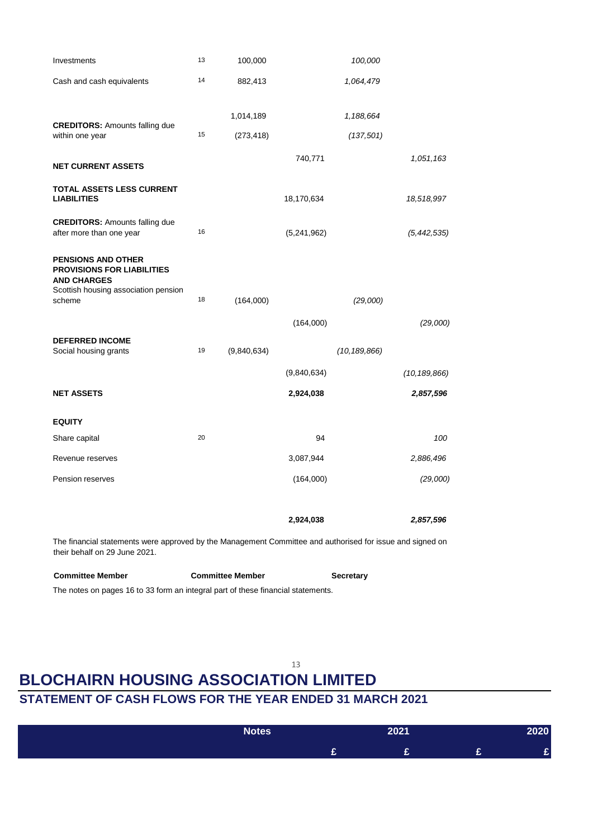| Investments                                                                          | 13 | 100,000     |             | 100,000        |                |
|--------------------------------------------------------------------------------------|----|-------------|-------------|----------------|----------------|
| Cash and cash equivalents                                                            | 14 | 882,413     |             | 1,064,479      |                |
|                                                                                      |    |             |             |                |                |
| <b>CREDITORS: Amounts falling due</b>                                                |    | 1,014,189   |             | 1,188,664      |                |
| within one year                                                                      | 15 | (273, 418)  |             | (137, 501)     |                |
| <b>NET CURRENT ASSETS</b>                                                            |    |             | 740,771     |                | 1,051,163      |
| TOTAL ASSETS LESS CURRENT<br><b>LIABILITIES</b>                                      |    |             | 18,170,634  |                | 18,518,997     |
| <b>CREDITORS: Amounts falling due</b><br>after more than one year                    | 16 |             | (5,241,962) |                | (5, 442, 535)  |
| <b>PENSIONS AND OTHER</b><br><b>PROVISIONS FOR LIABILITIES</b><br><b>AND CHARGES</b> |    |             |             |                |                |
| Scottish housing association pension<br>scheme                                       | 18 | (164,000)   |             | (29,000)       |                |
|                                                                                      |    |             | (164,000)   |                | (29,000)       |
| <b>DEFERRED INCOME</b><br>Social housing grants                                      | 19 | (9,840,634) |             | (10, 189, 866) |                |
|                                                                                      |    |             | (9,840,634) |                | (10, 189, 866) |
| <b>NET ASSETS</b>                                                                    |    |             | 2,924,038   |                | 2,857,596      |
| <b>EQUITY</b>                                                                        |    |             |             |                |                |
| Share capital                                                                        | 20 |             | 94          |                | 100            |
| Revenue reserves                                                                     |    |             | 3,087,944   |                | 2,886,496      |
| Pension reserves                                                                     |    |             | (164,000)   |                | (29,000)       |
|                                                                                      |    |             | 2,924,038   |                | 2,857,596      |
|                                                                                      |    |             |             |                |                |

The financial statements were approved by the Management Committee and authorised for issue and signed on their behalf on 29 June 2021.

**Committee Member Committee Member Secretary**

The notes on pages 16 to 33 form an integral part of these financial statements.

13

# **BLOCHAIRN HOUSING ASSOCIATION LIMITED STATEMENT OF CASH FLOWS FOR THE YEAR ENDED 31 MARCH 2021**

| Notes <sup>1</sup> | 2024<br>œ | $\sim$ |
|--------------------|-----------|--------|
|                    | ÷         | ÷      |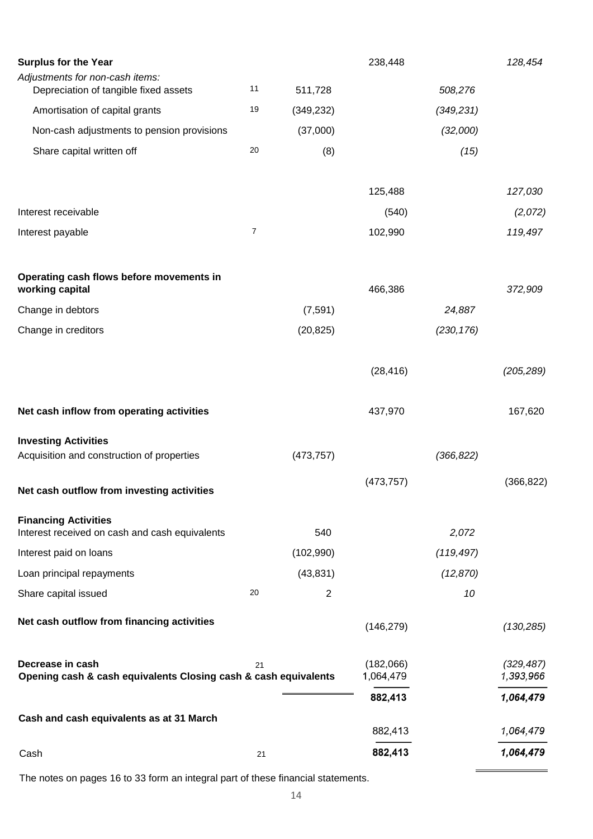| <b>Surplus for the Year</b>                                                         |    |            | 238,448                |            | 128,454                 |
|-------------------------------------------------------------------------------------|----|------------|------------------------|------------|-------------------------|
| Adjustments for non-cash items:<br>Depreciation of tangible fixed assets            | 11 | 511,728    |                        | 508,276    |                         |
| Amortisation of capital grants                                                      | 19 | (349, 232) |                        | (349, 231) |                         |
| Non-cash adjustments to pension provisions                                          |    | (37,000)   |                        | (32,000)   |                         |
| Share capital written off                                                           | 20 | (8)        |                        | (15)       |                         |
|                                                                                     |    |            | 125,488                |            | 127,030                 |
| Interest receivable                                                                 |    |            | (540)                  |            | (2,072)                 |
| Interest payable                                                                    | 7  |            | 102,990                |            | 119,497                 |
|                                                                                     |    |            |                        |            |                         |
| Operating cash flows before movements in<br>working capital                         |    |            | 466,386                |            | 372,909                 |
| Change in debtors                                                                   |    | (7, 591)   |                        | 24,887     |                         |
| Change in creditors                                                                 |    | (20, 825)  |                        | (230, 176) |                         |
|                                                                                     |    |            | (28, 416)              |            | (205, 289)              |
| Net cash inflow from operating activities                                           |    |            | 437,970                |            | 167,620                 |
| <b>Investing Activities</b>                                                         |    |            |                        |            |                         |
| Acquisition and construction of properties                                          |    | (473, 757) |                        | (366, 822) |                         |
| Net cash outflow from investing activities                                          |    |            | (473, 757)             |            | (366, 822)              |
| <b>Financing Activities</b><br>Interest received on cash and cash equivalents       |    | 540        |                        | 2,072      |                         |
| Interest paid on loans                                                              |    | (102,990)  |                        | (119, 497) |                         |
| Loan principal repayments                                                           |    | (43, 831)  |                        | (12, 870)  |                         |
| Share capital issued                                                                | 20 | 2          |                        | 10         |                         |
| Net cash outflow from financing activities                                          |    |            | (146, 279)             |            | (130, 285)              |
| Decrease in cash<br>Opening cash & cash equivalents Closing cash & cash equivalents | 21 |            | (182,066)<br>1,064,479 |            | (329, 487)<br>1,393,966 |
|                                                                                     |    |            | 882,413                |            | 1,064,479               |
| Cash and cash equivalents as at 31 March                                            |    |            | 882,413                |            | 1,064,479               |
| Cash                                                                                | 21 |            | 882,413                |            | 1,064,479               |

The notes on pages 16 to 33 form an integral part of these financial statements.

 $\overline{a}$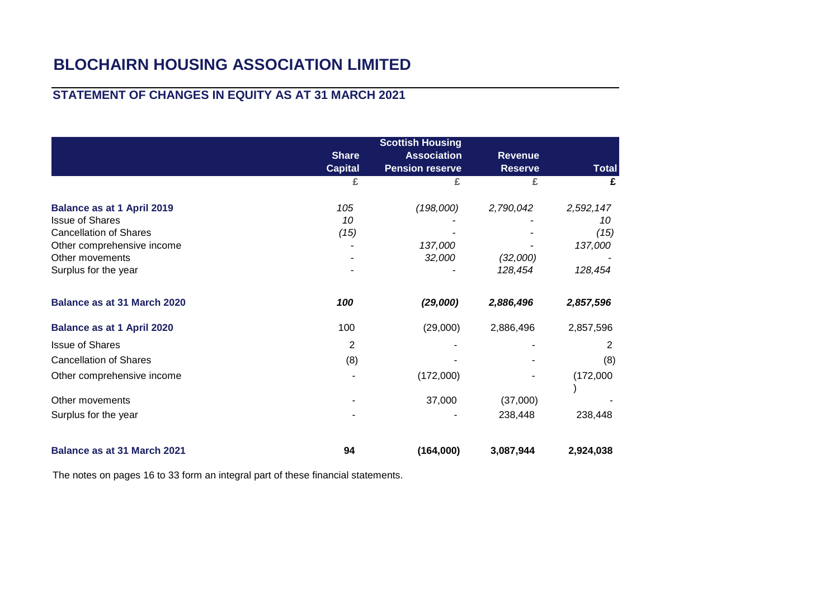# **STATEMENT OF CHANGES IN EQUITY AS AT 31 MARCH 2021**

|                                    |                | <b>Scottish Housing</b> |                |              |
|------------------------------------|----------------|-------------------------|----------------|--------------|
|                                    | <b>Share</b>   | <b>Association</b>      | <b>Revenue</b> |              |
|                                    | <b>Capital</b> | <b>Pension reserve</b>  | <b>Reserve</b> | <b>Total</b> |
|                                    | £              | £                       |                |              |
| <b>Balance as at 1 April 2019</b>  | 105            | (198,000)               | 2,790,042      | 2,592,147    |
| <b>Issue of Shares</b>             | 10             |                         |                | 10           |
| <b>Cancellation of Shares</b>      | (15)           |                         |                | (15)         |
| Other comprehensive income         |                | 137,000                 |                | 137,000      |
| Other movements                    |                | 32,000                  | (32,000)       |              |
| Surplus for the year               |                |                         | 128,454        | 128,454      |
| Balance as at 31 March 2020        | 100            | (29,000)                | 2,886,496      | 2,857,596    |
| <b>Balance as at 1 April 2020</b>  | 100            | (29,000)                | 2,886,496      | 2,857,596    |
| <b>Issue of Shares</b>             | $\overline{2}$ |                         |                | 2            |
| <b>Cancellation of Shares</b>      | (8)            |                         |                | (8)          |
| Other comprehensive income         |                | (172,000)               |                | (172,000)    |
| Other movements                    |                | 37,000                  | (37,000)       |              |
| Surplus for the year               |                |                         | 238,448        | 238,448      |
| <b>Balance as at 31 March 2021</b> | 94             | (164,000)               | 3,087,944      | 2,924,038    |

The notes on pages 16 to 33 form an integral part of these financial statements.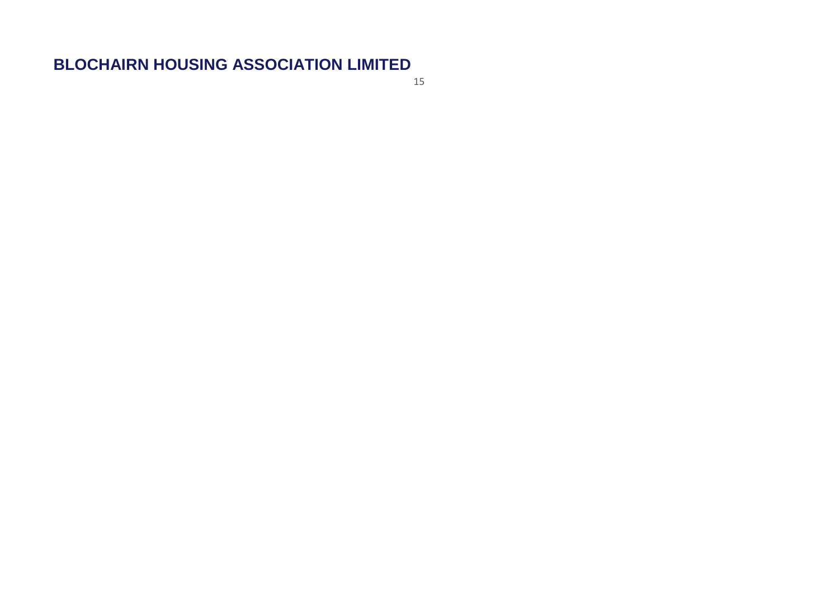15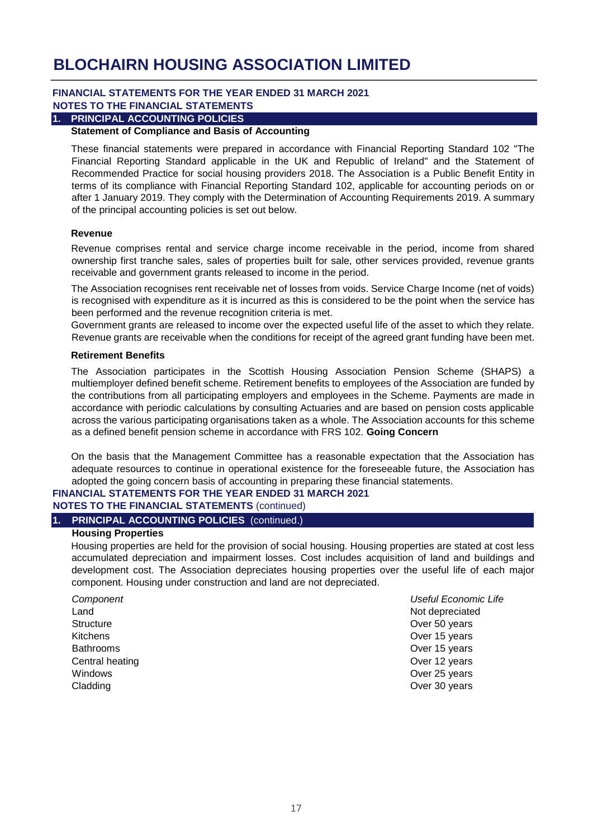# **FINANCIAL STATEMENTS FOR THE YEAR ENDED 31 MARCH 2021 NOTES TO THE FINANCIAL STATEMENTS**

### **1. PRINCIPAL ACCOUNTING POLICIES**

#### **Statement of Compliance and Basis of Accounting**

These financial statements were prepared in accordance with Financial Reporting Standard 102 "The Financial Reporting Standard applicable in the UK and Republic of Ireland" and the Statement of Recommended Practice for social housing providers 2018. The Association is a Public Benefit Entity in terms of its compliance with Financial Reporting Standard 102, applicable for accounting periods on or after 1 January 2019. They comply with the Determination of Accounting Requirements 2019. A summary of the principal accounting policies is set out below.

#### **Revenue**

Revenue comprises rental and service charge income receivable in the period, income from shared ownership first tranche sales, sales of properties built for sale, other services provided, revenue grants receivable and government grants released to income in the period.

The Association recognises rent receivable net of losses from voids. Service Charge Income (net of voids) is recognised with expenditure as it is incurred as this is considered to be the point when the service has been performed and the revenue recognition criteria is met.

Government grants are released to income over the expected useful life of the asset to which they relate. Revenue grants are receivable when the conditions for receipt of the agreed grant funding have been met.

#### **Retirement Benefits**

The Association participates in the Scottish Housing Association Pension Scheme (SHAPS) a multiemployer defined benefit scheme. Retirement benefits to employees of the Association are funded by the contributions from all participating employers and employees in the Scheme. Payments are made in accordance with periodic calculations by consulting Actuaries and are based on pension costs applicable across the various participating organisations taken as a whole. The Association accounts for this scheme as a defined benefit pension scheme in accordance with FRS 102. **Going Concern**

On the basis that the Management Committee has a reasonable expectation that the Association has adequate resources to continue in operational existence for the foreseeable future, the Association has adopted the going concern basis of accounting in preparing these financial statements.

#### **FINANCIAL STATEMENTS FOR THE YEAR ENDED 31 MARCH 2021**

**NOTES TO THE FINANCIAL STATEMENTS** (continued)

# **1. PRINCIPAL ACCOUNTING POLICIES** (continued.)

#### **Housing Properties**

Housing properties are held for the provision of social housing. Housing properties are stated at cost less accumulated depreciation and impairment losses. Cost includes acquisition of land and buildings and development cost. The Association depreciates housing properties over the useful life of each major component. Housing under construction and land are not depreciated.

Structure **Over 50 years** Structure **Over 50 years** Structure **Over 50 years** Kitchens Over 15 years Bathrooms **Over 15 years Over 15 years Central heating Community Community Community Community Community Community Community Community Community Community Community Community Community Community Community Community Community Community Community Community Commu** Windows **Over 25 years** Cladding Cladding Cladding Cladding Cladding Cladding Cladding Cladding Cladding Cladding Cladding Cladding Cla

*Component Useful Economic Life* Land **Not depreciated**  $\blacksquare$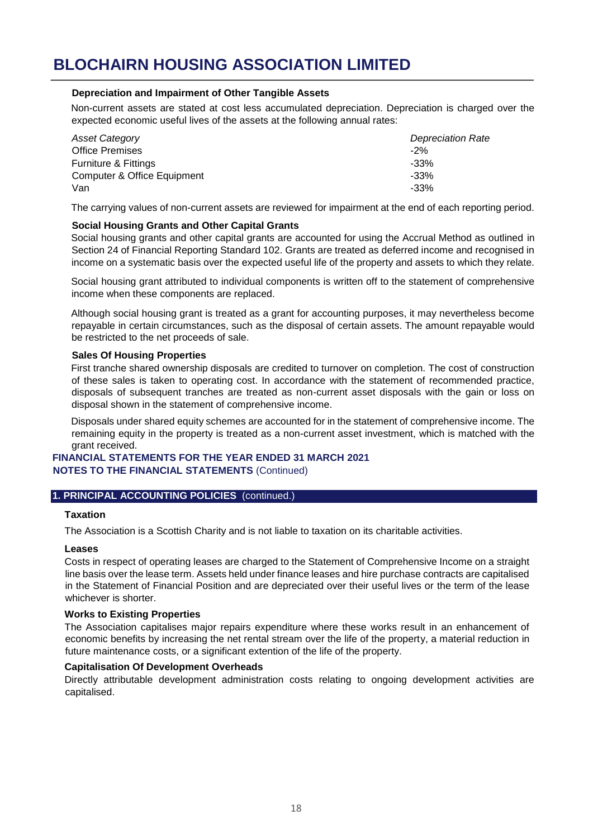#### **Depreciation and Impairment of Other Tangible Assets**

Non-current assets are stated at cost less accumulated depreciation. Depreciation is charged over the expected economic useful lives of the assets at the following annual rates:

| <b>Asset Category</b>       | <b>Depreciation Rate</b> |
|-----------------------------|--------------------------|
| <b>Office Premises</b>      | $-2%$                    |
| Furniture & Fittings        | $-33%$                   |
| Computer & Office Equipment | $-33\%$                  |
| Van                         | $-33%$                   |

The carrying values of non-current assets are reviewed for impairment at the end of each reporting period.

#### **Social Housing Grants and Other Capital Grants**

Social housing grants and other capital grants are accounted for using the Accrual Method as outlined in Section 24 of Financial Reporting Standard 102. Grants are treated as deferred income and recognised in income on a systematic basis over the expected useful life of the property and assets to which they relate.

Social housing grant attributed to individual components is written off to the statement of comprehensive income when these components are replaced.

Although social housing grant is treated as a grant for accounting purposes, it may nevertheless become repayable in certain circumstances, such as the disposal of certain assets. The amount repayable would be restricted to the net proceeds of sale.

#### **Sales Of Housing Properties**

First tranche shared ownership disposals are credited to turnover on completion. The cost of construction of these sales is taken to operating cost. In accordance with the statement of recommended practice, disposals of subsequent tranches are treated as non-current asset disposals with the gain or loss on disposal shown in the statement of comprehensive income.

Disposals under shared equity schemes are accounted for in the statement of comprehensive income. The remaining equity in the property is treated as a non-current asset investment, which is matched with the grant received.

#### **FINANCIAL STATEMENTS FOR THE YEAR ENDED 31 MARCH 2021 NOTES TO THE FINANCIAL STATEMENTS** (Continued)

#### **1. PRINCIPAL ACCOUNTING POLICIES** (continued.)

#### **Taxation**

The Association is a Scottish Charity and is not liable to taxation on its charitable activities.

#### **Leases**

Costs in respect of operating leases are charged to the Statement of Comprehensive Income on a straight line basis over the lease term. Assets held under finance leases and hire purchase contracts are capitalised in the Statement of Financial Position and are depreciated over their useful lives or the term of the lease whichever is shorter.

#### **Works to Existing Properties**

The Association capitalises major repairs expenditure where these works result in an enhancement of economic benefits by increasing the net rental stream over the life of the property, a material reduction in future maintenance costs, or a significant extention of the life of the property.

#### **Capitalisation Of Development Overheads**

Directly attributable development administration costs relating to ongoing development activities are capitalised.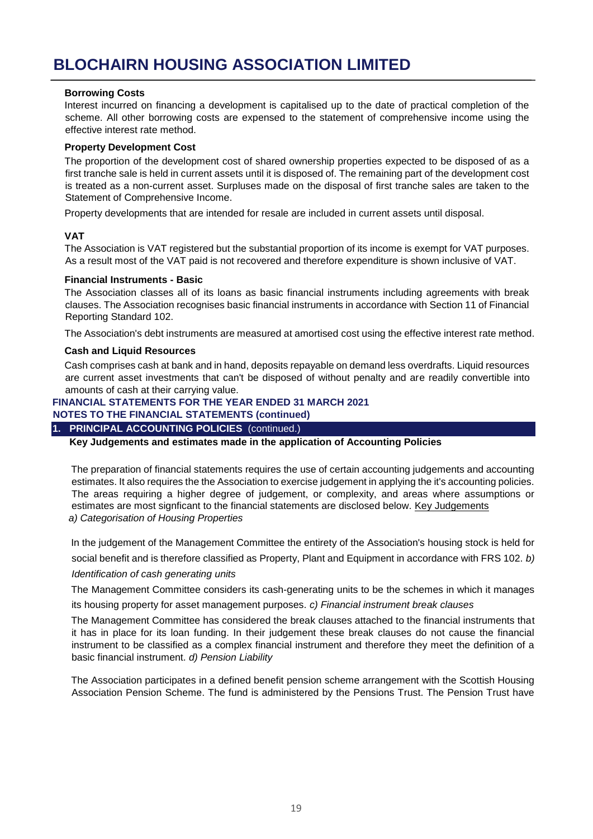#### **Borrowing Costs**

Interest incurred on financing a development is capitalised up to the date of practical completion of the scheme. All other borrowing costs are expensed to the statement of comprehensive income using the effective interest rate method.

#### **Property Development Cost**

The proportion of the development cost of shared ownership properties expected to be disposed of as a first tranche sale is held in current assets until it is disposed of. The remaining part of the development cost is treated as a non-current asset. Surpluses made on the disposal of first tranche sales are taken to the Statement of Comprehensive Income.

Property developments that are intended for resale are included in current assets until disposal.

### **VAT**

The Association is VAT registered but the substantial proportion of its income is exempt for VAT purposes. As a result most of the VAT paid is not recovered and therefore expenditure is shown inclusive of VAT.

#### **Financial Instruments - Basic**

The Association classes all of its loans as basic financial instruments including agreements with break clauses. The Association recognises basic financial instruments in accordance with Section 11 of Financial Reporting Standard 102.

The Association's debt instruments are measured at amortised cost using the effective interest rate method.

#### **Cash and Liquid Resources**

Cash comprises cash at bank and in hand, deposits repayable on demand less overdrafts. Liquid resources are current asset investments that can't be disposed of without penalty and are readily convertible into amounts of cash at their carrying value.

# **FINANCIAL STATEMENTS FOR THE YEAR ENDED 31 MARCH 2021**

#### **NOTES TO THE FINANCIAL STATEMENTS (continued)**

### **1. PRINCIPAL ACCOUNTING POLICIES** (continued.)

### **Key Judgements and estimates made in the application of Accounting Policies**

The preparation of financial statements requires the use of certain accounting judgements and accounting estimates. It also requires the the Association to exercise judgement in applying the it's accounting policies. The areas requiring a higher degree of judgement, or complexity, and areas where assumptions or estimates are most signficant to the financial statements are disclosed below. Key Judgements *a) Categorisation of Housing Properties*

In the judgement of the Management Committee the entirety of the Association's housing stock is held for social benefit and is therefore classified as Property, Plant and Equipment in accordance with FRS 102. *b)* 

### *Identification of cash generating units*

The Management Committee considers its cash-generating units to be the schemes in which it manages

its housing property for asset management purposes. *c) Financial instrument break clauses*

The Management Committee has considered the break clauses attached to the financial instruments that it has in place for its loan funding. In their judgement these break clauses do not cause the financial instrument to be classified as a complex financial instrument and therefore they meet the definition of a basic financial instrument. *d) Pension Liability*

The Association participates in a defined benefit pension scheme arrangement with the Scottish Housing Association Pension Scheme. The fund is administered by the Pensions Trust. The Pension Trust have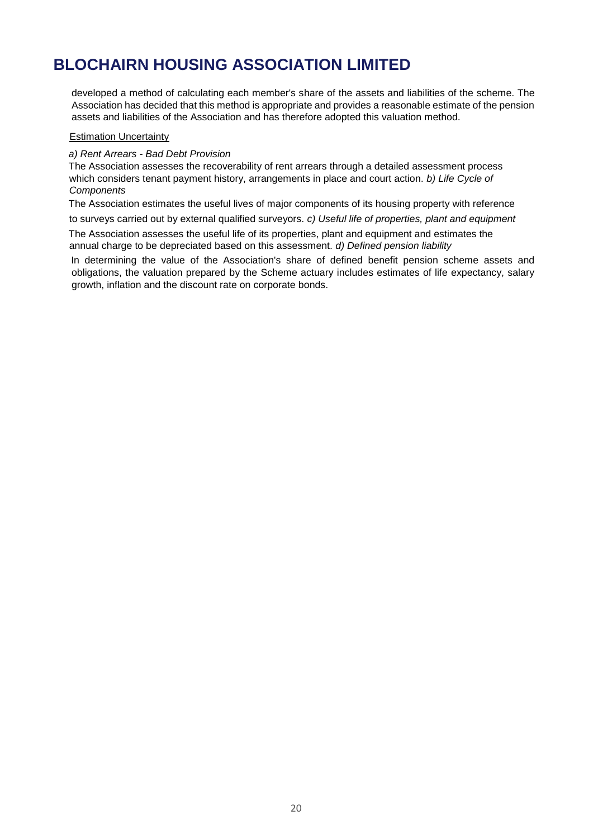developed a method of calculating each member's share of the assets and liabilities of the scheme. The Association has decided that this method is appropriate and provides a reasonable estimate of the pension assets and liabilities of the Association and has therefore adopted this valuation method.

#### Estimation Uncertainty

#### *a) Rent Arrears - Bad Debt Provision*

The Association assesses the recoverability of rent arrears through a detailed assessment process which considers tenant payment history, arrangements in place and court action. *b) Life Cycle of Components*

The Association estimates the useful lives of major components of its housing property with reference

to surveys carried out by external qualified surveyors. *c) Useful life of properties, plant and equipment*

The Association assesses the useful life of its properties, plant and equipment and estimates the annual charge to be depreciated based on this assessment. *d) Defined pension liability*

In determining the value of the Association's share of defined benefit pension scheme assets and obligations, the valuation prepared by the Scheme actuary includes estimates of life expectancy, salary growth, inflation and the discount rate on corporate bonds.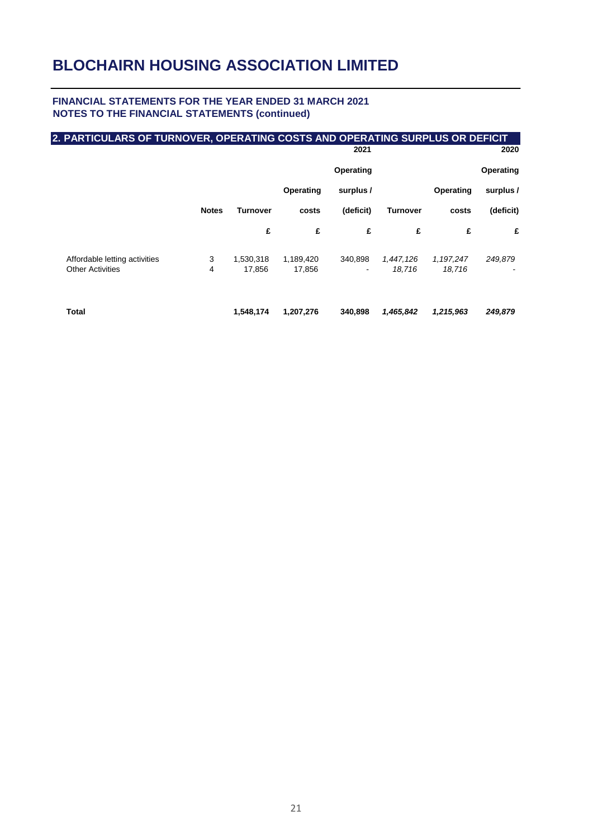### **FINANCIAL STATEMENTS FOR THE YEAR ENDED 31 MARCH 2021 NOTES TO THE FINANCIAL STATEMENTS (continued)**

| 2. PARTICULARS OF TURNOVER, OPERATING COSTS AND OPERATING SURPLUS OR DEFICIT |              |                     |                     |           |                     |                     |           |  |  |
|------------------------------------------------------------------------------|--------------|---------------------|---------------------|-----------|---------------------|---------------------|-----------|--|--|
|                                                                              |              |                     |                     | 2021      |                     |                     | 2020      |  |  |
|                                                                              |              |                     |                     | Operating |                     |                     | Operating |  |  |
|                                                                              |              |                     | Operating           | surplus / |                     | Operating           | surplus / |  |  |
|                                                                              | <b>Notes</b> | <b>Turnover</b>     | costs               | (deficit) | <b>Turnover</b>     | costs               | (deficit) |  |  |
|                                                                              |              | £                   | £                   | £         | £                   | £                   | £         |  |  |
| Affordable letting activities<br><b>Other Activities</b>                     | 3<br>4       | 1,530,318<br>17,856 | 1,189,420<br>17,856 | 340,898   | 1,447,126<br>18,716 | 1,197,247<br>18,716 | 249,879   |  |  |
| Total                                                                        |              | 1,548,174           | 1,207,276           | 340,898   | 1,465,842           | 1,215,963           | 249,879   |  |  |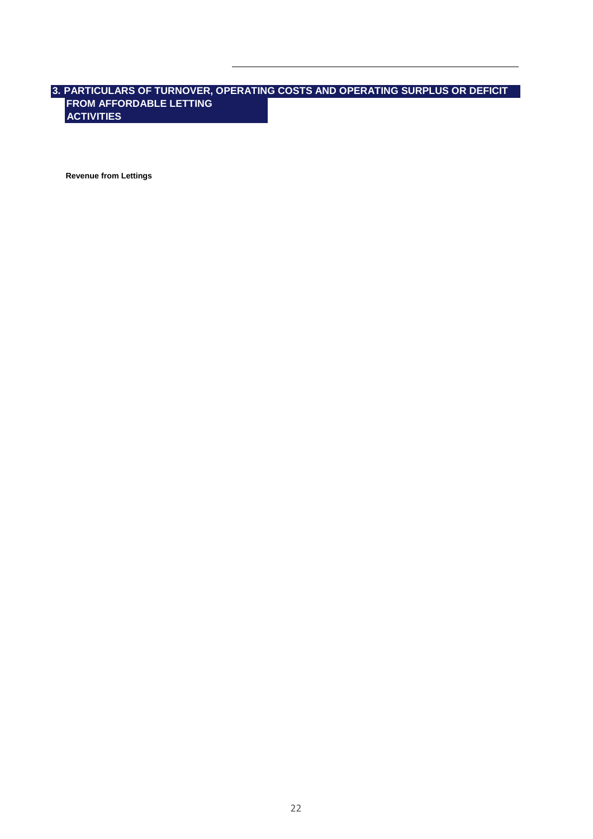### **3. PARTICULARS OF TURNOVER, OPERATING COSTS AND OPERATING SURPLUS OR DEFICIT FROM AFFORDABLE LETTING ACTIVITIES**

l

**Revenue from Lettings**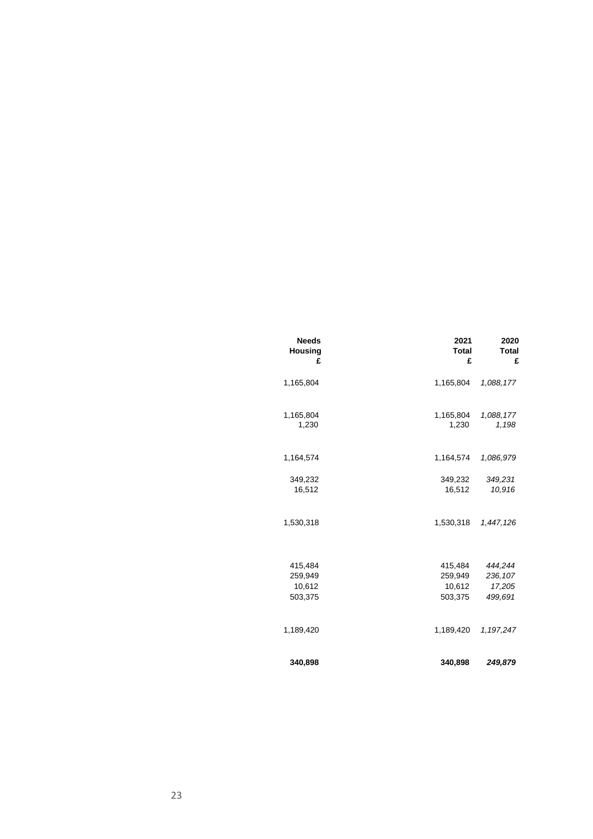| <b>Needs</b><br><b>Housing</b><br>£     | 2021<br>Total<br>£                      | 2020<br><b>Total</b><br>£                |
|-----------------------------------------|-----------------------------------------|------------------------------------------|
| 1,165,804                               | 1,165,804                               | 1,088,177                                |
| 1,165,804<br>1,230                      | 1,165,804<br>1,230                      | 1,088,177<br>1,198                       |
| 1,164,574                               | 1,164,574                               | 1,086,979                                |
| 349,232<br>16,512                       | 349,232<br>16,512                       | 349,231<br>10,916                        |
| 1,530,318                               | 1,530,318                               | 1,447,126                                |
| 415,484<br>259,949<br>10,612<br>503,375 | 415,484<br>259,949<br>10,612<br>503,375 | 444,244<br>236, 107<br>17,205<br>499,691 |
| 1,189,420                               | 1,189,420                               | 1,197,247                                |
| 340,898                                 | 340,898                                 | 249,879                                  |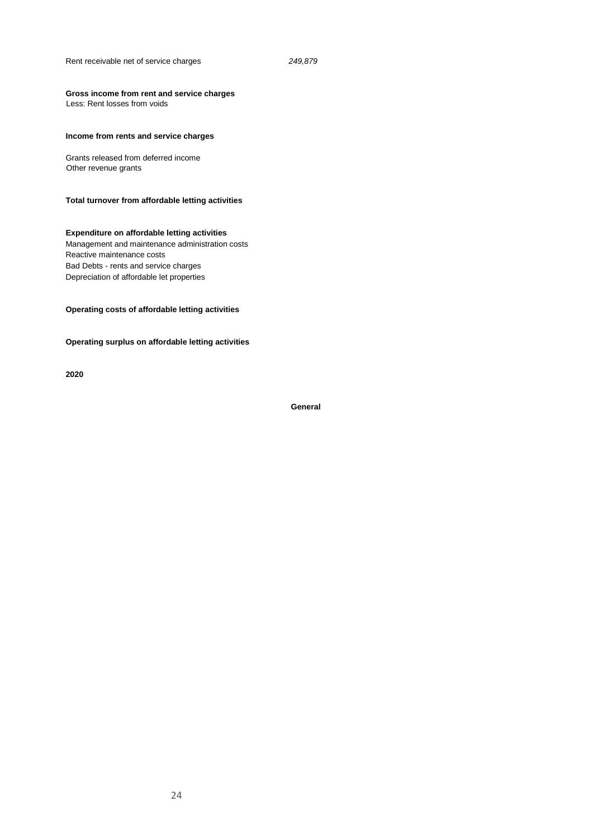#### Rent receivable net of service charges

#### **Gross income from rent and service charges**

Less: Rent losses from voids

#### **Income from rents and service charges**

Grants released from deferred income Other revenue grants

#### **Total turnover from affordable letting activities**

### **Expenditure on affordable letting activities**

Management and maintenance administration costs Reactive maintenance costs Bad Debts - rents and service charges Depreciation of affordable let properties

#### **Operating costs of affordable letting activities**

#### **Operating surplus on affordable letting activities**

**2020**

**General**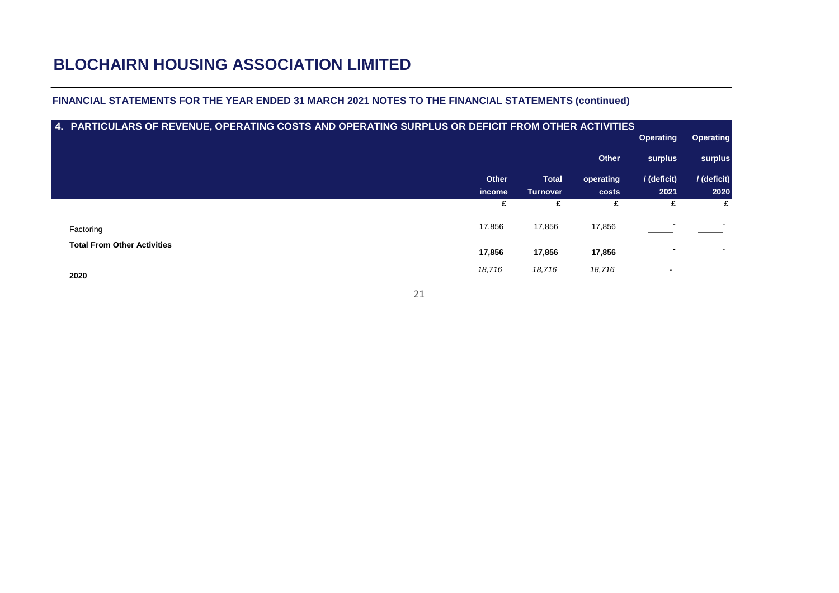| 4. PARTICULARS OF REVENUE, OPERATING COSTS AND OPERATING SURPLUS OR DEFICIT FROM OTHER ACTIVITIES |        |                 |           |                  |                  |
|---------------------------------------------------------------------------------------------------|--------|-----------------|-----------|------------------|------------------|
|                                                                                                   |        |                 |           | <b>Operating</b> | <b>Operating</b> |
|                                                                                                   |        |                 | Other     | surplus          | surplus          |
|                                                                                                   | Other  | <b>Total</b>    | operating | / (deficit)      | / (deficit)      |
|                                                                                                   | income | <b>Turnover</b> | costs     | 2021             | 2020             |
|                                                                                                   | £      | £               | £         | £                | £                |
| Factoring                                                                                         | 17,856 | 17,856          | 17,856    |                  |                  |
| <b>Total From Other Activities</b>                                                                | 17,856 | 17,856          | 17,856    |                  |                  |
| 2020                                                                                              | 18,716 | 18,716          | 18,716    |                  |                  |

# **FINANCIAL STATEMENTS FOR THE YEAR ENDED 31 MARCH 2021 NOTES TO THE FINANCIAL STATEMENTS (continued)**

21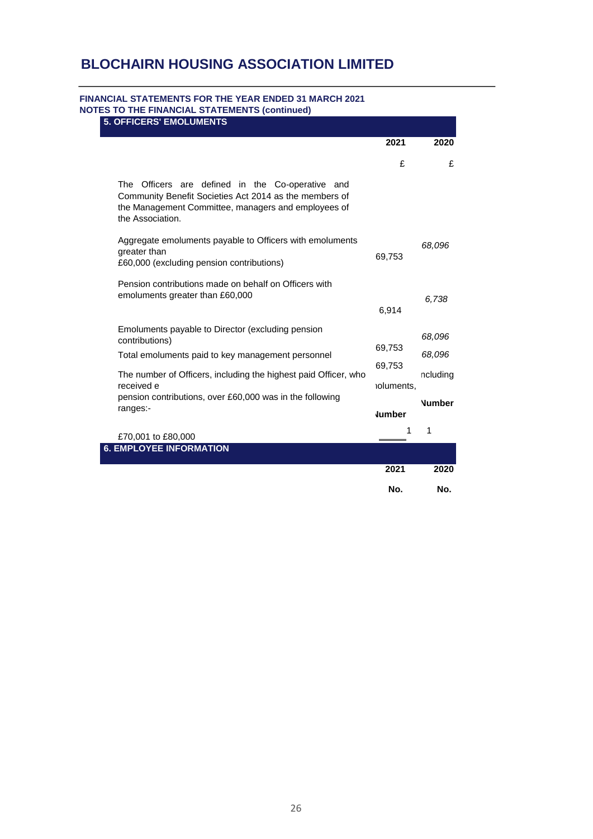#### **FINANCIAL STATEMENTS FOR THE YEAR ENDED 31 MARCH 2021 NOTES TO THE FINANCIAL STATEMENTS (continued) 5. OFFICERS' EMOLUMENTS 2021 2020** £ £ The Officers are defined in the Co-operative and Community Benefit Societies Act 2014 as the members of the Management Committee, managers and employees of the Association. Aggregate emoluments payable to Officers with emoluments greater than £60,000 (excluding pension contributions) Pension contributions made on behalf on Officers with emoluments greater than £60,000 Emoluments payable to Director (excluding pension contributions) Total emoluments paid to key management personnel The number of Officers, including the highest paid Officer, who received e pension contributions, over £60,000 was in the following ranges:- £70,001 to £80,000 69,753 6,914 69,753 69,753  moluments, **Number**  $\overline{a}$ 1 *68,096 6,738 68,096 68,096*  ncluding **Number** 1 **6. EMPLOYEE INFORMATION 2021 2020 No. No.**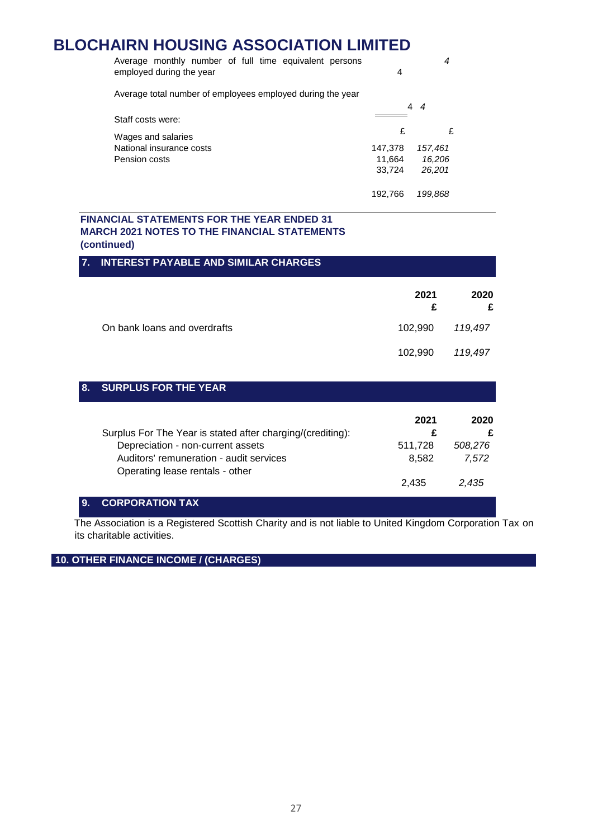|                          |  |  | Average monthly number of full time equivalent persons |  |  |
|--------------------------|--|--|--------------------------------------------------------|--|--|
| employed during the year |  |  |                                                        |  |  |
|                          |  |  |                                                        |  |  |

Average total number of employees employed during the year

| Staff costs were:        |         |         |
|--------------------------|---------|---------|
| Wages and salaries       | £       |         |
| National insurance costs | 147,378 | 157,461 |
| Pension costs            | 11.664  | 16,206  |
|                          | 33,724  | 26,201  |
|                          | 192,766 | 199,868 |

*4*

### **FINANCIAL STATEMENTS FOR THE YEAR ENDED 31 MARCH 2021 NOTES TO THE FINANCIAL STATEMENTS (continued)**

| 7. INTEREST PAYABLE AND SIMILAR CHARGES |           |           |
|-----------------------------------------|-----------|-----------|
|                                         | 2021<br>£ | 2020<br>£ |
| On bank loans and overdrafts            | 102,990   | 119,497   |
|                                         | 102,990   | 119,497   |

| <b>8. SURPLUS FOR THE YEAR</b> |  |
|--------------------------------|--|
|--------------------------------|--|

|                                                                            | 2021    | 2020    |
|----------------------------------------------------------------------------|---------|---------|
| Surplus For The Year is stated after charging/(crediting):                 |         |         |
| Depreciation - non-current assets                                          | 511,728 | 508.276 |
| Auditors' remuneration - audit services<br>Operating lease rentals - other | 8.582   | 7.572   |
|                                                                            | 2.435   | 2.435   |

# **9. CORPORATION TAX**

The Association is a Registered Scottish Charity and is not liable to United Kingdom Corporation Tax on its charitable activities.

## **10. OTHER FINANCE INCOME / (CHARGES)**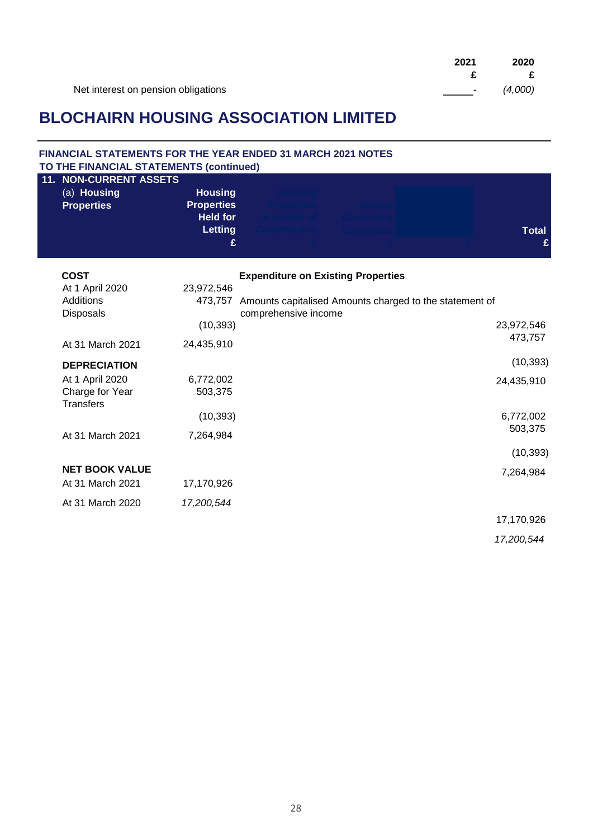| 2020    | 2021 |
|---------|------|
| £       | £    |
| (4,000) |      |

Net interest on pension obligations - *(4,000)*

# **BLOCHAIRN HOUSING ASSOCIATION LIMITED**

| <b>11. NON-CURRENT ASSETS</b><br>$\overline{(a)}$ Housing<br><b>Properties</b> | <b>Housing</b><br><b>Properties</b>    |                                                                                                                              |                                   |
|--------------------------------------------------------------------------------|----------------------------------------|------------------------------------------------------------------------------------------------------------------------------|-----------------------------------|
|                                                                                | <b>Held for</b><br><b>Letting</b><br>£ |                                                                                                                              | <b>Total</b><br>£                 |
| <b>COST</b><br>At 1 April 2020<br><b>Additions</b><br><b>Disposals</b>         | 23,972,546<br>473,757                  | <b>Expenditure on Existing Properties</b><br>Amounts capitalised Amounts charged to the statement of<br>comprehensive income |                                   |
| At 31 March 2021                                                               | (10, 393)<br>24,435,910                |                                                                                                                              | 23,972,546<br>473,757             |
| <b>DEPRECIATION</b><br>At 1 April 2020<br>Charge for Year<br><b>Transfers</b>  | 6,772,002<br>503,375                   |                                                                                                                              | (10, 393)<br>24,435,910           |
| At 31 March 2021                                                               | (10, 393)<br>7,264,984                 |                                                                                                                              | 6,772,002<br>503,375<br>(10, 393) |
| <b>NET BOOK VALUE</b><br>At 31 March 2021                                      | 17,170,926                             |                                                                                                                              | 7,264,984                         |
| At 31 March 2020                                                               | 17,200,544                             |                                                                                                                              | 17,170,926                        |

*17,200,544*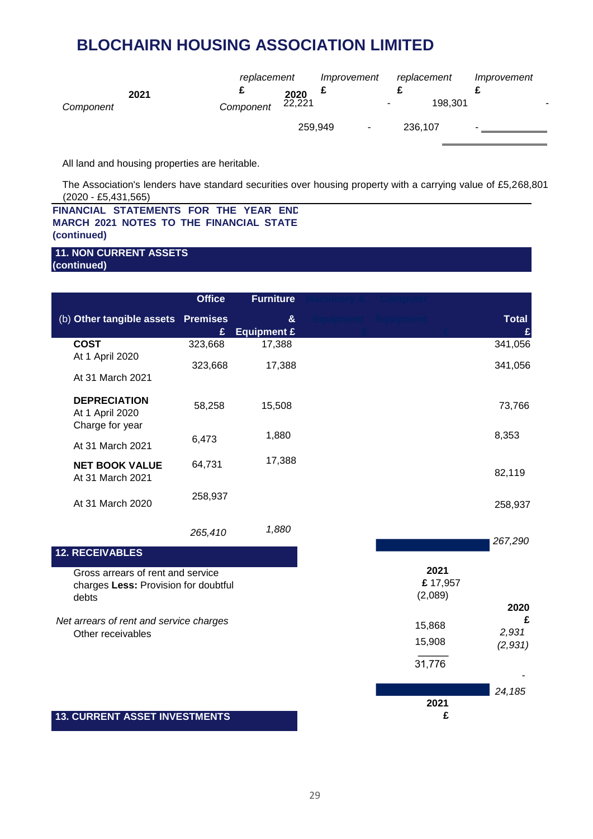|           |      | replacement |                | Improvement |   | replacement |         | Improvement |  |
|-----------|------|-------------|----------------|-------------|---|-------------|---------|-------------|--|
| Component | 2021 | Component   | 2020<br>22,221 | z,          | ۰ |             | 198,301 |             |  |
|           |      |             | 259,949        |             | ۰ | 236,107     |         |             |  |

All land and housing properties are heritable.

The Association's lenders have standard securities over housing property with a carrying value of £5,268,801 (2020 - £5,431,565)

|             | FINANCIAL STATEMENTS FOR THE YEAR END          |  |  |
|-------------|------------------------------------------------|--|--|
|             | <b>MARCH 2021 NOTES TO THE FINANCIAL STATE</b> |  |  |
| (continued) |                                                |  |  |

**11. NON CURRENT ASSETS (continued)**

|                                                                                    | <b>Office</b> | <b>Furniture</b>   |                            |              |
|------------------------------------------------------------------------------------|---------------|--------------------|----------------------------|--------------|
| (b) Other tangible assets Premises                                                 |               | &                  |                            | <b>Total</b> |
|                                                                                    | £             | <b>Equipment £</b> |                            |              |
| <b>COST</b><br>At 1 April 2020                                                     | 323,668       | 17,388             |                            | 341,056      |
| At 31 March 2021                                                                   | 323,668       | 17,388             |                            | 341,056      |
| <b>DEPRECIATION</b><br>At 1 April 2020<br>Charge for year                          | 58,258        | 15,508             |                            | 73,766       |
| At 31 March 2021                                                                   | 6,473         | 1,880              |                            | 8,353        |
| <b>NET BOOK VALUE</b><br>At 31 March 2021                                          | 64,731        | 17,388             |                            | 82,119       |
| At 31 March 2020                                                                   | 258,937       |                    |                            | 258,937      |
|                                                                                    | 265,410       | 1,880              |                            | 267,290      |
| <b>12. RECEIVABLES</b>                                                             |               |                    |                            |              |
| Gross arrears of rent and service<br>charges Less: Provision for doubtful<br>debts |               |                    | 2021<br>£17,957<br>(2,089) |              |
|                                                                                    |               |                    |                            | 2020         |
| Net arrears of rent and service charges<br>Other receivables                       |               |                    | 15,868                     | £<br>2,931   |
|                                                                                    |               |                    | 15,908                     | (2, 931)     |
|                                                                                    |               |                    | 31,776                     |              |
|                                                                                    |               |                    |                            | 24,185       |
|                                                                                    |               |                    | 2021                       |              |
| <b>13. CURRENT ASSET INVESTMENTS</b>                                               |               |                    | £                          |              |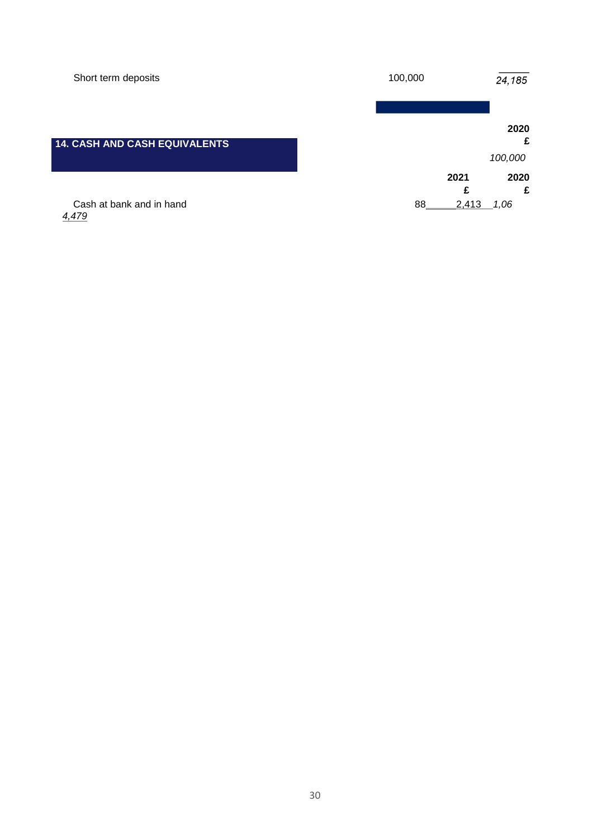| Short term deposits                  | 100,000     | 24,185  |
|--------------------------------------|-------------|---------|
|                                      |             |         |
|                                      |             | 2020    |
| <b>14. CASH AND CASH EQUIVALENTS</b> |             | £       |
|                                      |             | 100,000 |
|                                      | 2021        | 2020    |
|                                      | £           | £       |
| Cash at bank and in hand<br>4,479    | 2,413<br>88 | 1,06    |

30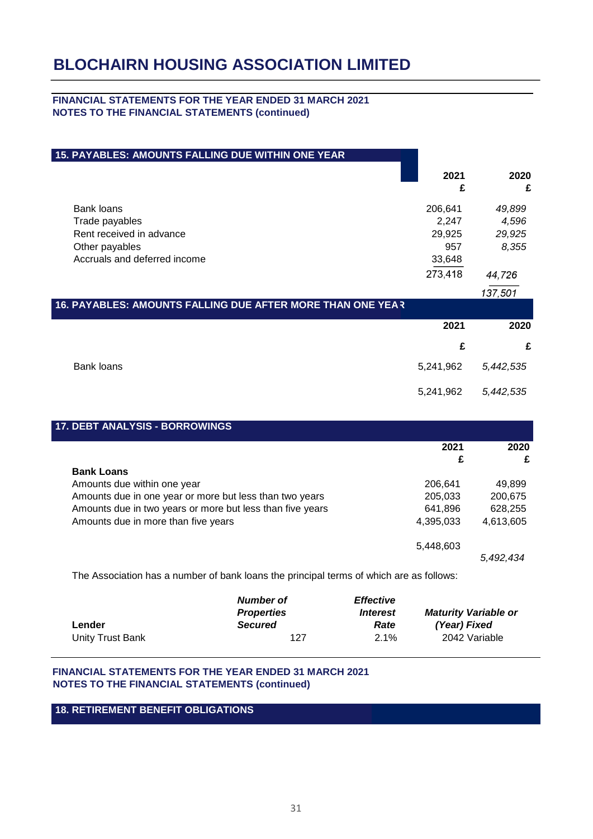### **FINANCIAL STATEMENTS FOR THE YEAR ENDED 31 MARCH 2021 NOTES TO THE FINANCIAL STATEMENTS (continued)**

| 2021<br>£<br><b>Bank loans</b><br>206,641<br>2,247<br>Trade payables<br>Rent received in advance<br>29,925<br>Other payables<br>957<br>Accruals and deferred income<br>33,648<br>273,418<br>44,726<br>137,501<br>16. PAYABLES: AMOUNTS FALLING DUE AFTER MORE THAN ONE YEAR<br>2021<br>£<br><b>Bank loans</b><br>5,241,962 | 2020<br>£ |
|----------------------------------------------------------------------------------------------------------------------------------------------------------------------------------------------------------------------------------------------------------------------------------------------------------------------------|-----------|
|                                                                                                                                                                                                                                                                                                                            |           |
|                                                                                                                                                                                                                                                                                                                            |           |
|                                                                                                                                                                                                                                                                                                                            | 49,899    |
|                                                                                                                                                                                                                                                                                                                            | 4,596     |
|                                                                                                                                                                                                                                                                                                                            | 29,925    |
|                                                                                                                                                                                                                                                                                                                            | 8,355     |
|                                                                                                                                                                                                                                                                                                                            |           |
|                                                                                                                                                                                                                                                                                                                            |           |
|                                                                                                                                                                                                                                                                                                                            |           |
|                                                                                                                                                                                                                                                                                                                            |           |
|                                                                                                                                                                                                                                                                                                                            | 2020      |
|                                                                                                                                                                                                                                                                                                                            | £         |
|                                                                                                                                                                                                                                                                                                                            | 5,442,535 |
| 5,241,962<br>5,442,535                                                                                                                                                                                                                                                                                                     |           |
| <b>17 DERT ANAI VSIS, RORROWINGS</b>                                                                                                                                                                                                                                                                                       |           |

| TI. DEDI ANAETSIS - DONNOVINGS                            |           |           |
|-----------------------------------------------------------|-----------|-----------|
|                                                           | 2021      | 2020      |
|                                                           | £         |           |
| <b>Bank Loans</b>                                         |           |           |
| Amounts due within one year                               | 206,641   | 49,899    |
| Amounts due in one year or more but less than two years   | 205,033   | 200,675   |
| Amounts due in two years or more but less than five years | 641,896   | 628,255   |
| Amounts due in more than five years                       | 4,395,033 | 4,613,605 |
|                                                           | 5,448,603 |           |
|                                                           |           | 5,492,434 |

The Association has a number of bank loans the principal terms of which are as follows:

|                  | Number of<br><b>Properties</b> | <i><b>Effective</b></i><br><i><b>Interest</b></i> | <b>Maturity Variable or</b> |
|------------------|--------------------------------|---------------------------------------------------|-----------------------------|
| Lender           | <b>Secured</b>                 | Rate                                              | (Year) Fixed                |
| Unity Trust Bank | 127                            | $2.1\%$                                           | 2042 Variable               |

### **FINANCIAL STATEMENTS FOR THE YEAR ENDED 31 MARCH 2021 NOTES TO THE FINANCIAL STATEMENTS (continued)**

# **18. RETIREMENT BENEFIT OBLIGATIONS**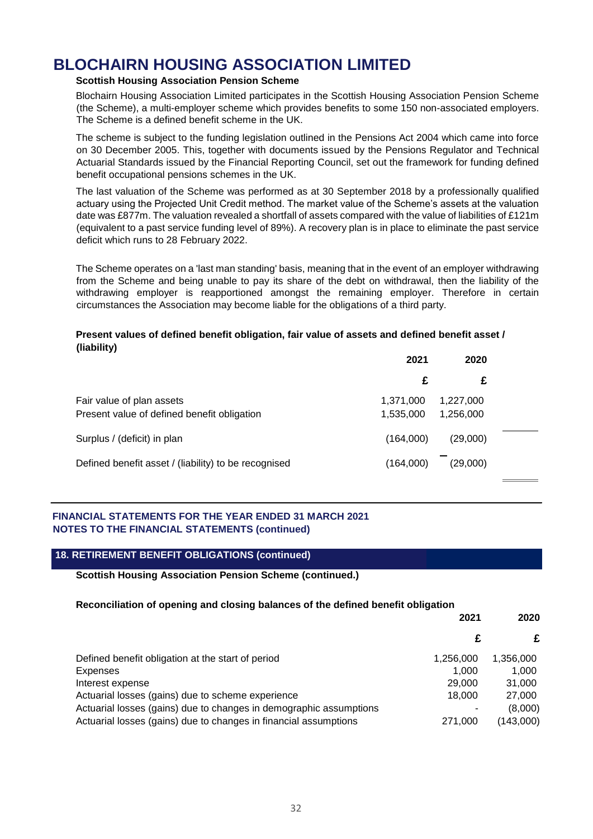### **Scottish Housing Association Pension Scheme**

Blochairn Housing Association Limited participates in the Scottish Housing Association Pension Scheme (the Scheme), a multi-employer scheme which provides benefits to some 150 non-associated employers. The Scheme is a defined benefit scheme in the UK.

The scheme is subject to the funding legislation outlined in the Pensions Act 2004 which came into force on 30 December 2005. This, together with documents issued by the Pensions Regulator and Technical Actuarial Standards issued by the Financial Reporting Council, set out the framework for funding defined benefit occupational pensions schemes in the UK.

The last valuation of the Scheme was performed as at 30 September 2018 by a professionally qualified actuary using the Projected Unit Credit method. The market value of the Scheme's assets at the valuation date was £877m. The valuation revealed a shortfall of assets compared with the value of liabilities of £121m (equivalent to a past service funding level of 89%). A recovery plan is in place to eliminate the past service deficit which runs to 28 February 2022.

The Scheme operates on a 'last man standing' basis, meaning that in the event of an employer withdrawing from the Scheme and being unable to pay its share of the debt on withdrawal, then the liability of the withdrawing employer is reapportioned amongst the remaining employer. Therefore in certain circumstances the Association may become liable for the obligations of a third party.

#### **Present values of defined benefit obligation, fair value of assets and defined benefit asset / (liability)**

|                                                      | 2021      | 2020      |  |
|------------------------------------------------------|-----------|-----------|--|
|                                                      | £         | £         |  |
| Fair value of plan assets                            | 1,371,000 | 1,227,000 |  |
| Present value of defined benefit obligation          | 1,535,000 | 1,256,000 |  |
| Surplus / (deficit) in plan                          | (164,000) | (29,000)  |  |
| Defined benefit asset / (liability) to be recognised | (164,000) | (29.000)  |  |

# **FINANCIAL STATEMENTS FOR THE YEAR ENDED 31 MARCH 2021 NOTES TO THE FINANCIAL STATEMENTS (continued)**

### **18. RETIREMENT BENEFIT OBLIGATIONS (continued)**

**Scottish Housing Association Pension Scheme (continued.)**

### **Reconciliation of opening and closing balances of the defined benefit obligation**

|                                                                    | 2021      |           |
|--------------------------------------------------------------------|-----------|-----------|
|                                                                    |           | £         |
| Defined benefit obligation at the start of period                  | 1.256.000 | 1.356.000 |
| Expenses                                                           | 1.000     | 1.000     |
| Interest expense                                                   | 29,000    | 31,000    |
| Actuarial losses (gains) due to scheme experience                  | 18,000    | 27,000    |
| Actuarial losses (gains) due to changes in demographic assumptions | ۰         | (8,000)   |
| Actuarial losses (gains) due to changes in financial assumptions   | 271.000   | (143,000) |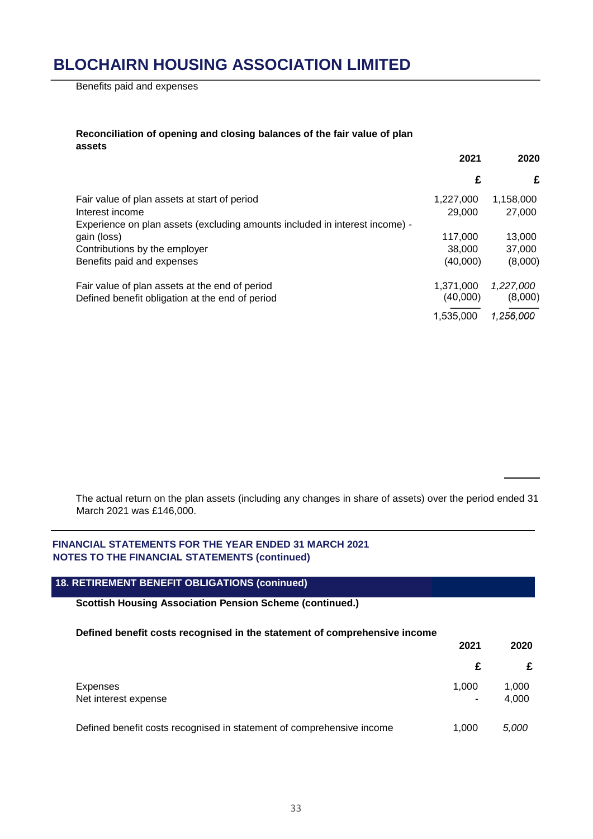Benefits paid and expenses

#### **Reconciliation of opening and closing balances of the fair value of plan assets**

|                                                                             | 2021                  | 2020                 |
|-----------------------------------------------------------------------------|-----------------------|----------------------|
|                                                                             | £                     | £                    |
| Fair value of plan assets at start of period                                | 1,227,000             | 1,158,000            |
| Interest income                                                             | 29,000                | 27,000               |
| Experience on plan assets (excluding amounts included in interest income) - |                       |                      |
| gain (loss)                                                                 | 117.000               | 13,000               |
| Contributions by the employer                                               | 38,000                | 37,000               |
| Benefits paid and expenses                                                  | (40,000)              | (8,000)              |
| Fair value of plan assets at the end of period                              | 1.371.000<br>(40,000) | 1.227.000<br>(8,000) |
| Defined benefit obligation at the end of period                             |                       |                      |
|                                                                             | 1,535,000             | 1,256,000            |

The actual return on the plan assets (including any changes in share of assets) over the period ended 31 March 2021 was £146,000.

 $\overline{a}$ 

### **FINANCIAL STATEMENTS FOR THE YEAR ENDED 31 MARCH 2021 NOTES TO THE FINANCIAL STATEMENTS (continued)**

# **18. RETIREMENT BENEFIT OBLIGATIONS (coninued)**

**Scottish Housing Association Pension Scheme (continued.)**

#### **Defined benefit costs recognised in the statement of comprehensive income**

|                                                                       | 2021       | 2020           |
|-----------------------------------------------------------------------|------------|----------------|
|                                                                       |            | £              |
| Expenses<br>Net interest expense                                      | 1.000<br>٠ | 1,000<br>4,000 |
| Defined benefit costs recognised in statement of comprehensive income | 1,000      | 5,000          |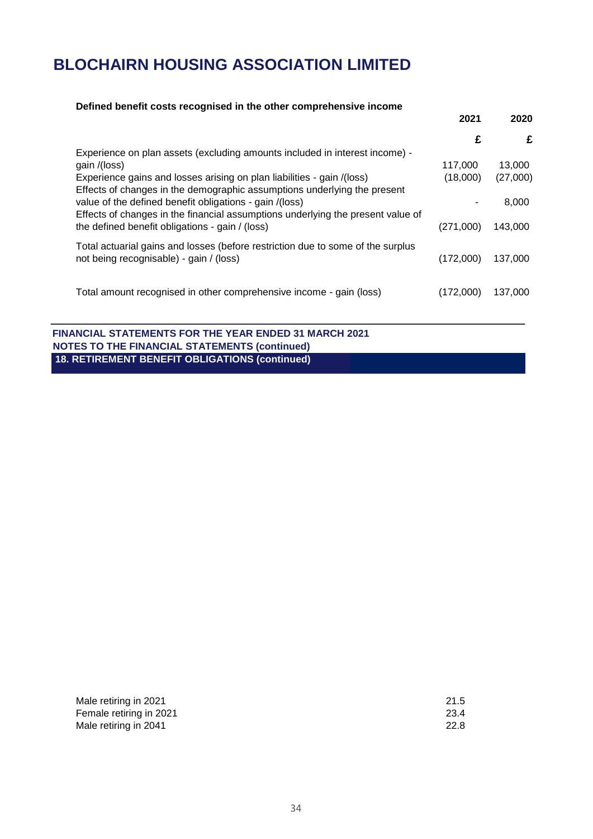| Defined benefit costs recognised in the other comprehensive income                                                                                 |           |          |
|----------------------------------------------------------------------------------------------------------------------------------------------------|-----------|----------|
|                                                                                                                                                    | 2021      | 2020     |
|                                                                                                                                                    | £         | £        |
| Experience on plan assets (excluding amounts included in interest income) -<br>gain /(loss)                                                        | 117,000   | 13,000   |
| Experience gains and losses arising on plan liabilities - gain /(loss)<br>Effects of changes in the demographic assumptions underlying the present | (18,000)  | (27,000) |
| value of the defined benefit obligations - gain /(loss)<br>Effects of changes in the financial assumptions underlying the present value of         |           | 8,000    |
| the defined benefit obligations - gain / (loss)                                                                                                    | (271,000) | 143,000  |
| Total actuarial gains and losses (before restriction due to some of the surplus<br>not being recognisable) - gain / (loss)                         | (172,000) | 137,000  |
| Total amount recognised in other comprehensive income - gain (loss)                                                                                | (172,000) | 137,000  |

**FINANCIAL STATEMENTS FOR THE YEAR ENDED 31 MARCH 2021 NOTES TO THE FINANCIAL STATEMENTS (continued) 18. RETIREMENT BENEFIT OBLIGATIONS (continued)**

| 21.5 |
|------|
| 23.4 |
| 22.8 |
|      |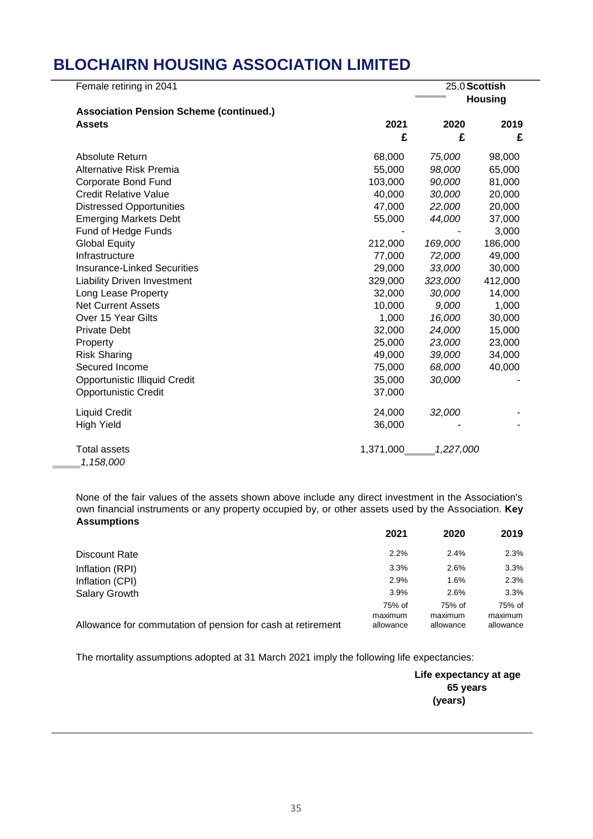| Female retiring in 2041                        |           |           | 25.0 Scottish  |
|------------------------------------------------|-----------|-----------|----------------|
|                                                |           |           | <b>Housing</b> |
| <b>Association Pension Scheme (continued.)</b> |           |           |                |
| <b>Assets</b>                                  | 2021      | 2020      | 2019           |
|                                                | £         | £         | £              |
| Absolute Return                                | 68,000    | 75,000    | 98,000         |
| <b>Alternative Risk Premia</b>                 | 55,000    | 98,000    | 65,000         |
| Corporate Bond Fund                            | 103,000   | 90,000    | 81,000         |
| <b>Credit Relative Value</b>                   | 40,000    | 30,000    | 20,000         |
| <b>Distressed Opportunities</b>                | 47,000    | 22,000    | 20,000         |
| <b>Emerging Markets Debt</b>                   | 55,000    | 44,000    | 37,000         |
| Fund of Hedge Funds                            |           |           | 3,000          |
| <b>Global Equity</b>                           | 212,000   | 169,000   | 186,000        |
| Infrastructure                                 | 77,000    | 72,000    | 49,000         |
| <b>Insurance-Linked Securities</b>             | 29,000    | 33,000    | 30,000         |
| <b>Liability Driven Investment</b>             | 329,000   | 323,000   | 412,000        |
| Long Lease Property                            | 32,000    | 30,000    | 14,000         |
| <b>Net Current Assets</b>                      | 10,000    | 9,000     | 1,000          |
| Over 15 Year Gilts                             | 1,000     | 16,000    | 30,000         |
| <b>Private Debt</b>                            | 32,000    | 24,000    | 15,000         |
| Property                                       | 25,000    | 23,000    | 23,000         |
| <b>Risk Sharing</b>                            | 49,000    | 39,000    | 34,000         |
| Secured Income                                 | 75,000    | 68,000    | 40,000         |
| Opportunistic Illiquid Credit                  | 35,000    | 30,000    |                |
| <b>Opportunistic Credit</b>                    | 37,000    |           |                |
| <b>Liquid Credit</b>                           | 24,000    | 32,000    |                |
| <b>High Yield</b>                              | 36,000    |           |                |
| Total assets<br>1,158,000                      | 1,371,000 | 1,227,000 |                |

None of the fair values of the assets shown above include any direct investment in the Association's own financial instruments or any property occupied by, or other assets used by the Association. **Key Assumptions**

|                                                             | 2021                           | 2020                           | 2019                           |
|-------------------------------------------------------------|--------------------------------|--------------------------------|--------------------------------|
| Discount Rate                                               | 2.2%                           | 2.4%                           | 2.3%                           |
| Inflation (RPI)                                             | $3.3\%$                        | 2.6%                           | 3.3%                           |
| Inflation (CPI)                                             | 2.9%                           | 1.6%                           | 2.3%                           |
| <b>Salary Growth</b>                                        | 3.9%                           | 2.6%                           | 3.3%                           |
| Allowance for commutation of pension for cash at retirement | 75% of<br>maximum<br>allowance | 75% of<br>maximum<br>allowance | 75% of<br>maximum<br>allowance |

The mortality assumptions adopted at 31 March 2021 imply the following life expectancies:

**Life expectancy at age 65 years (years)**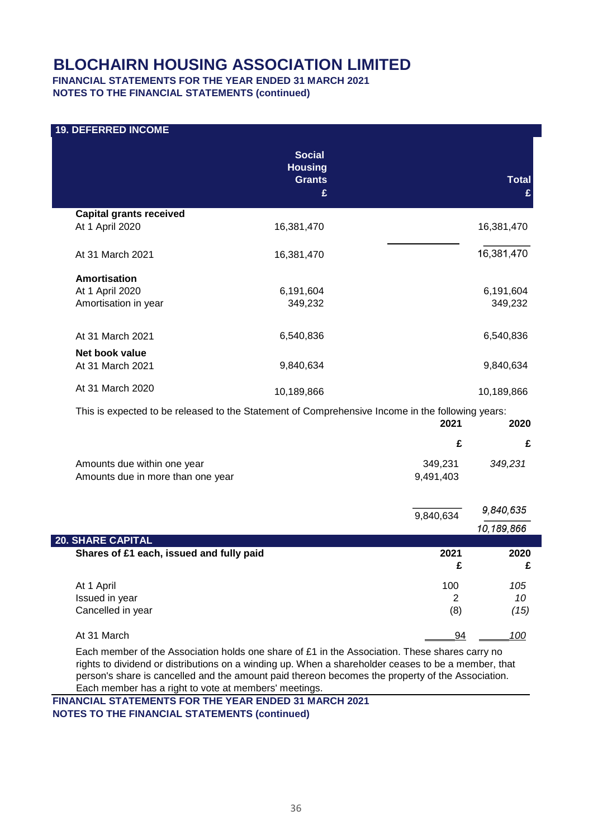### **FINANCIAL STATEMENTS FOR THE YEAR ENDED 31 MARCH 2021 NOTES TO THE FINANCIAL STATEMENTS (continued)**

| <b>19. DEFERRED INCOME</b>                                                                       |                                                       |                |                   |
|--------------------------------------------------------------------------------------------------|-------------------------------------------------------|----------------|-------------------|
|                                                                                                  | <b>Social</b><br><b>Housing</b><br><b>Grants</b><br>£ |                | <b>Total</b><br>£ |
| <b>Capital grants received</b>                                                                   |                                                       |                |                   |
| At 1 April 2020                                                                                  | 16,381,470                                            |                | 16,381,470        |
| At 31 March 2021                                                                                 | 16,381,470                                            |                | 16,381,470        |
| <b>Amortisation</b>                                                                              |                                                       |                |                   |
| At 1 April 2020                                                                                  | 6,191,604                                             |                | 6,191,604         |
| Amortisation in year                                                                             | 349,232                                               |                | 349,232           |
| At 31 March 2021                                                                                 | 6,540,836                                             |                | 6,540,836         |
| Net book value                                                                                   |                                                       |                |                   |
| At 31 March 2021                                                                                 | 9,840,634                                             |                | 9,840,634         |
| At 31 March 2020                                                                                 | 10,189,866                                            |                | 10,189,866        |
| This is expected to be released to the Statement of Comprehensive Income in the following years: |                                                       |                |                   |
|                                                                                                  |                                                       | 2021           | 2020              |
|                                                                                                  |                                                       | £              | £                 |
| Amounts due within one year                                                                      |                                                       | 349,231        | 349,231           |
| Amounts due in more than one year                                                                |                                                       | 9,491,403      |                   |
|                                                                                                  |                                                       | 9,840,634      | 9,840,635         |
|                                                                                                  |                                                       |                | 10,189,866        |
| <b>20. SHARE CAPITAL</b>                                                                         |                                                       |                |                   |
| Shares of £1 each, issued and fully paid                                                         |                                                       | 2021<br>£      | 2020<br>£         |
| At 1 April                                                                                       |                                                       | 100            | 105               |
| Issued in year                                                                                   |                                                       | $\overline{2}$ | 10                |
| Cancelled in year                                                                                |                                                       | (8)            | (15)              |
| At 31 March                                                                                      |                                                       | 94             | 100               |
| Each member of the Association holds one share of £1 in the Association. These shares carry no   |                                                       |                |                   |

rights to dividend or distributions on a winding up. When a shareholder ceases to be a member, that person's share is cancelled and the amount paid thereon becomes the property of the Association. Each member has a right to vote at members' meetings.

**FINANCIAL STATEMENTS FOR THE YEAR ENDED 31 MARCH 2021 NOTES TO THE FINANCIAL STATEMENTS (continued)**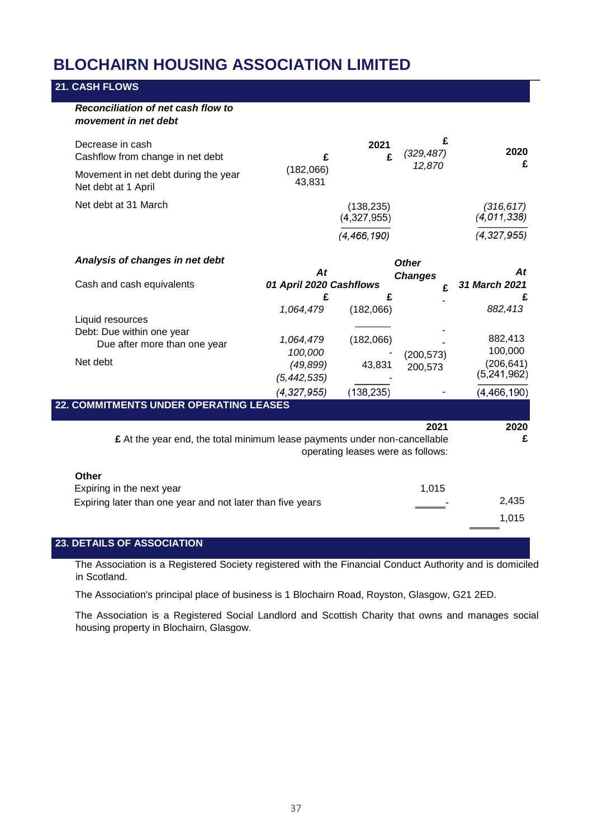| 21. CASH FLOWS                                                            |                               |                           |                     |                           |
|---------------------------------------------------------------------------|-------------------------------|---------------------------|---------------------|---------------------------|
| <b>Reconciliation of net cash flow to</b><br>movement in net debt         |                               |                           |                     |                           |
| Decrease in cash<br>Cashflow from change in net debt                      | £                             | 2021<br>£                 | £<br>(329, 487)     | 2020<br>£                 |
| Movement in net debt during the year<br>Net debt at 1 April               | (182,066)<br>43,831           |                           | 12,870              |                           |
| Net debt at 31 March                                                      |                               | (138, 235)<br>(4,327,955) |                     | (316, 617)<br>(4,011,338) |
|                                                                           |                               | (4, 466, 190)             |                     | (4, 327, 955)             |
| Analysis of changes in net debt                                           |                               |                           | <b>Other</b>        |                           |
|                                                                           |                               |                           |                     |                           |
| Cash and cash equivalents                                                 | At<br>01 April 2020 Cashflows |                           | <b>Changes</b><br>£ | At<br>31 March 2021       |
|                                                                           | £                             | £                         |                     |                           |
| Liquid resources                                                          | 1,064,479                     | (182,066)                 |                     | 882,413                   |
| Debt: Due within one year                                                 | 1,064,479                     | (182,066)                 |                     | 882,413                   |
| Due after more than one year                                              | 100,000                       |                           | (200, 573)          | 100,000                   |
| Net debt                                                                  | (49, 899)                     | 43,831                    | 200,573             | (206, 641)                |
|                                                                           | (5, 442, 535)                 |                           |                     | (5, 241, 962)             |
|                                                                           | (4, 327, 955)                 | (138, 235)                |                     | (4, 466, 190)             |
| 22. COMMITMENTS UNDER OPERATING LEASES                                    |                               |                           |                     |                           |
|                                                                           |                               |                           | 2021                | 2020                      |
| £ At the year end, the total minimum lease payments under non-cancellable |                               |                           |                     | £                         |

| Other                                                      |       |       |
|------------------------------------------------------------|-------|-------|
| Expiring in the next year                                  | 1.015 |       |
| Expiring later than one year and not later than five years | -     | 2,435 |
|                                                            |       | 1.015 |
|                                                            |       |       |

# **23. DETAILS OF ASSOCIATION**

The Association is a Registered Society registered with the Financial Conduct Authority and is domiciled in Scotland.

The Association's principal place of business is 1 Blochairn Road, Royston, Glasgow, G21 2ED.

The Association is a Registered Social Landlord and Scottish Charity that owns and manages social housing property in Blochairn, Glasgow.